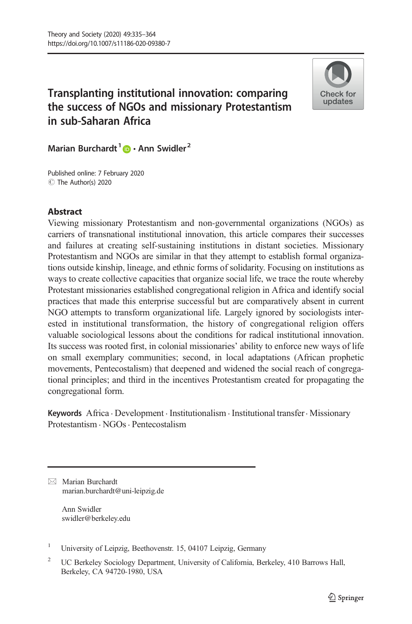# Transplanting institutional innovation: comparing the success of NGOs and missionary Protestantism in sub-Saharan Africa



Marian Burchardt<sup>1</sup>  $\bullet$  · Ann Swidler<sup>2</sup>

Published online: 7 February 2020 C The Author(s) 2020

# **Abstract**

Viewing missionary Protestantism and non-governmental organizations (NGOs) as carriers of transnational institutional innovation, this article compares their successes and failures at creating self-sustaining institutions in distant societies. Missionary Protestantism and NGOs are similar in that they attempt to establish formal organizations outside kinship, lineage, and ethnic forms of solidarity. Focusing on institutions as ways to create collective capacities that organize social life, we trace the route whereby Protestant missionaries established congregational religion in Africa and identify social practices that made this enterprise successful but are comparatively absent in current NGO attempts to transform organizational life. Largely ignored by sociologists interested in institutional transformation, the history of congregational religion offers valuable sociological lessons about the conditions for radical institutional innovation. Its success was rooted first, in colonial missionaries' ability to enforce new ways of life on small exemplary communities; second, in local adaptations (African prophetic movements, Pentecostalism) that deepened and widened the social reach of congregational principles; and third in the incentives Protestantism created for propagating the congregational form.

Keywords Africa . Development . Institutionalism . Institutional transfer. Missionary Protestantism . NGOs. Pentecostalism

 $\boxtimes$  Marian Burchardt [marian.burchardt@uni-leipzig.de](mailto:marian.burchardt@unieipzig.de)

> Ann Swidler swidler@berkeley.edu

<sup>1</sup> University of Leipzig, Beethovenstr. 15, 04107 Leipzig, Germany

<sup>&</sup>lt;sup>2</sup> UC Berkeley Sociology Department, University of California, Berkeley, 410 Barrows Hall, Berkeley, CA 94720-1980, USA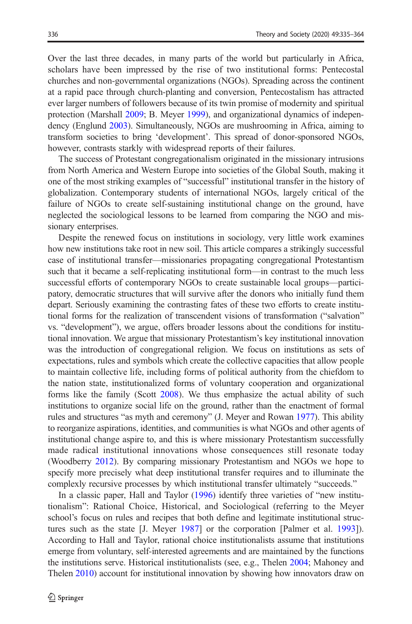Over the last three decades, in many parts of the world but particularly in Africa, scholars have been impressed by the rise of two institutional forms: Pentecostal churches and non-governmental organizations (NGOs). Spreading across the continent at a rapid pace through church-planting and conversion, Pentecostalism has attracted ever larger numbers of followers because of its twin promise of modernity and spiritual protection (Marshall [2009](#page-27-0); B. Meyer [1999](#page-28-0)), and organizational dynamics of independency (Englund [2003](#page-26-0)). Simultaneously, NGOs are mushrooming in Africa, aiming to transform societies to bring 'development'. This spread of donor-sponsored NGOs, however, contrasts starkly with widespread reports of their failures.

The success of Protestant congregationalism originated in the missionary intrusions from North America and Western Europe into societies of the Global South, making it one of the most striking examples of "successful" institutional transfer in the history of globalization. Contemporary students of international NGOs, largely critical of the failure of NGOs to create self-sustaining institutional change on the ground, have neglected the sociological lessons to be learned from comparing the NGO and missionary enterprises.

Despite the renewed focus on institutions in sociology, very little work examines how new institutions take root in new soil. This article compares a strikingly successful case of institutional transfer—missionaries propagating congregational Protestantism such that it became a self-replicating institutional form—in contrast to the much less successful efforts of contemporary NGOs to create sustainable local groups—participatory, democratic structures that will survive after the donors who initially fund them depart. Seriously examining the contrasting fates of these two efforts to create institutional forms for the realization of transcendent visions of transformation ("salvation" vs. "development"), we argue, offers broader lessons about the conditions for institutional innovation. We argue that missionary Protestantism's key institutional innovation was the introduction of congregational religion. We focus on institutions as sets of expectations, rules and symbols which create the collective capacities that allow people to maintain collective life, including forms of political authority from the chiefdom to the nation state, institutionalized forms of voluntary cooperation and organizational forms like the family (Scott [2008\)](#page-28-0). We thus emphasize the actual ability of such institutions to organize social life on the ground, rather than the enactment of formal rules and structures "as myth and ceremony" (J. Meyer and Rowan [1977\)](#page-28-0). This ability to reorganize aspirations, identities, and communities is what NGOs and other agents of institutional change aspire to, and this is where missionary Protestantism successfully made radical institutional innovations whose consequences still resonate today (Woodberry [2012](#page-29-0)). By comparing missionary Protestantism and NGOs we hope to specify more precisely what deep institutional transfer requires and to illuminate the complexly recursive processes by which institutional transfer ultimately "succeeds."

In a classic paper, Hall and Taylor [\(1996\)](#page-27-0) identify three varieties of "new institutionalism": Rational Choice, Historical, and Sociological (referring to the Meyer school's focus on rules and recipes that both define and legitimate institutional struc-tures such as the state [J. Meyer [1987](#page-28-0)] or the corporation [Palmer et al. [1993\]](#page-28-0)). According to Hall and Taylor, rational choice institutionalists assume that institutions emerge from voluntary, self-interested agreements and are maintained by the functions the institutions serve. Historical institutionalists (see, e.g., Thelen [2004;](#page-29-0) Mahoney and Thelen [2010](#page-27-0)) account for institutional innovation by showing how innovators draw on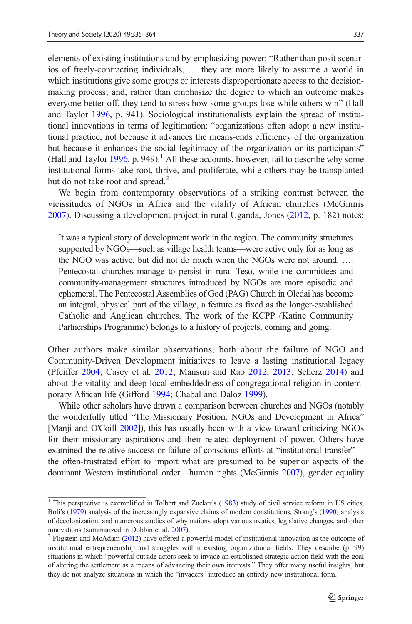elements of existing institutions and by emphasizing power: "Rather than posit scenarios of freely-contracting individuals, … they are more likely to assume a world in which institutions give some groups or interests disproportionate access to the decisionmaking process; and, rather than emphasize the degree to which an outcome makes everyone better off, they tend to stress how some groups lose while others win" (Hall and Taylor [1996](#page-27-0), p. 941). Sociological institutionalists explain the spread of institutional innovations in terms of legitimation: "organizations often adopt a new institutional practice, not because it advances the means-ends efficiency of the organization but because it enhances the social legitimacy of the organization or its participants" (Hall and Taylor [1996](#page-27-0), p. 949).<sup>1</sup> All these accounts, however, fail to describe why some institutional forms take root, thrive, and proliferate, while others may be transplanted but do not take root and spread. $\frac{2}{x}$ 

We begin from contemporary observations of a striking contrast between the vicissitudes of NGOs in Africa and the vitality of African churches (McGinnis [2007\)](#page-27-0). Discussing a development project in rural Uganda, Jones [\(2012,](#page-27-0) p. 182) notes:

It was a typical story of development work in the region. The community structures supported by NGOs—such as village health teams—were active only for as long as the NGO was active, but did not do much when the NGOs were not around. …. Pentecostal churches manage to persist in rural Teso, while the committees and community-management structures introduced by NGOs are more episodic and ephemeral. The Pentecostal Assemblies of God (PAG) Church in Oledai has become an integral, physical part of the village, a feature as fixed as the longer-established Catholic and Anglican churches. The work of the KCPP (Katine Community Partnerships Programme) belongs to a history of projects, coming and going.

Other authors make similar observations, both about the failure of NGO and Community-Driven Development initiatives to leave a lasting institutional legacy (Pfeiffer [2004;](#page-28-0) Casey et al. [2012;](#page-25-0) Mansuri and Rao [2012,](#page-27-0) [2013;](#page-27-0) Scherz [2014](#page-28-0)) and about the vitality and deep local embeddedness of congregational religion in contemporary African life (Gifford [1994;](#page-27-0) Chabal and Daloz [1999](#page-25-0)).

While other scholars have drawn a comparison between churches and NGOs (notably the wonderfully titled "The Missionary Position: NGOs and Development in Africa" [Manji and O'Coill [2002\]](#page-27-0)), this has usually been with a view toward criticizing NGOs for their missionary aspirations and their related deployment of power. Others have examined the relative success or failure of conscious efforts at "institutional transfer" the often-frustrated effort to import what are presumed to be superior aspects of the dominant Western institutional order—human rights (McGinnis [2007\)](#page-27-0), gender equality

<sup>&</sup>lt;sup>1</sup> This perspective is exemplified in Tolbert and Zucker's [\(1983\)](#page-29-0) study of civil service reform in US cities, Boli's [\(1979\)](#page-25-0) analysis of the increasingly expansive claims of modern constitutions, Strang's [\(1990\)](#page-28-0) analysis of decolonization, and numerous studies of why nations adopt various treaties, legislative changes, and other innovations (summarized in Dobbin et al. [2007](#page-26-0)).<br><sup>2</sup> Fligstein and McAdam [\(2012](#page-26-0)) have offered a powerful model of institutional innovation as the outcome of

institutional entrepreneurship and struggles within existing organizational fields. They describe (p. 99) situations in which "powerful outside actors seek to invade an established strategic action field with the goal of altering the settlement as a means of advancing their own interests." They offer many useful insights, but they do not analyze situations in which the "invaders" introduce an entirely new institutional form.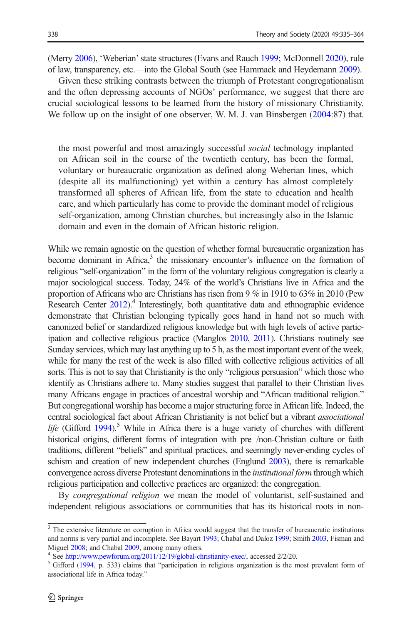(Merry [2006\)](#page-27-0), 'Weberian'state structures (Evans and Rauch [1999](#page-26-0); McDonnell [2020](#page-27-0)), rule of law, transparency, etc.—into the Global South (see Hammack and Heydemann [2009\)](#page-27-0).

Given these striking contrasts between the triumph of Protestant congregationalism and the often depressing accounts of NGOs' performance, we suggest that there are crucial sociological lessons to be learned from the history of missionary Christianity. We follow up on the insight of one observer, W. M. J. van Binsbergen ([2004](#page-29-0):87) that.

the most powerful and most amazingly successful *social* technology implanted on African soil in the course of the twentieth century, has been the formal, voluntary or bureaucratic organization as defined along Weberian lines, which (despite all its malfunctioning) yet within a century has almost completely transformed all spheres of African life, from the state to education and health care, and which particularly has come to provide the dominant model of religious self-organization, among Christian churches, but increasingly also in the Islamic domain and even in the domain of African historic religion.

While we remain agnostic on the question of whether formal bureaucratic organization has become dominant in Africa,<sup>3</sup> the missionary encounter's influence on the formation of religious "self-organization" in the form of the voluntary religious congregation is clearly a major sociological success. Today, 24% of the world's Christians live in Africa and the proportion of Africans who are Christians has risen from 9 % in 1910 to 63% in 2010 (Pew Research Center [2012\)](#page-28-0).<sup>4</sup> Interestingly, both quantitative data and ethnographic evidence demonstrate that Christian belonging typically goes hand in hand not so much with canonized belief or standardized religious knowledge but with high levels of active participation and collective religious practice (Manglos [2010](#page-27-0), [2011](#page-27-0)). Christians routinely see Sunday services, which may last anything up to 5 h, as the most important event of the week, while for many the rest of the week is also filled with collective religious activities of all sorts. This is not to say that Christianity is the only "religious persuasion" which those who identify as Christians adhere to. Many studies suggest that parallel to their Christian lives many Africans engage in practices of ancestral worship and "African traditional religion." But congregational worship has become a major structuring force in African life. Indeed, the central sociological fact about African Christianity is not belief but a vibrant associational life (Gifford  $1994$ ).<sup>5</sup> While in Africa there is a huge variety of churches with different historical origins, different forms of integration with pre−/non-Christian culture or faith traditions, different "beliefs" and spiritual practices, and seemingly never-ending cycles of schism and creation of new independent churches (Englund [2003\)](#page-26-0), there is remarkable convergence across diverse Protestant denominations in the *institutional form* through which religious participation and collective practices are organized: the congregation.

By *congregational religion* we mean the model of voluntarist, self-sustained and independent religious associations or communities that has its historical roots in non-

<sup>&</sup>lt;sup>3</sup> The extensive literature on corruption in Africa would suggest that the transfer of bureaucratic institutions and norms is very partial and incomplete. See Bayart [1993;](#page-25-0) Chabal and Daloz [1999;](#page-25-0) Smith [2003,](#page-28-0) Fisman and Miguel [2008](#page-26-0); and Chabal [2009,](#page-25-0) among many others.<br><sup>4</sup> See [http://www.pewforum.org/2011/12/19/global-christianity-exec/,](http://www.pewforum.org/2011/12/19/global-christianity-exec/) accessed 2/2/20.<br><sup>5</sup> Gifford ([1994](#page-27-0), p. 533) claims that "participation in religious organization is th

associational life in Africa today."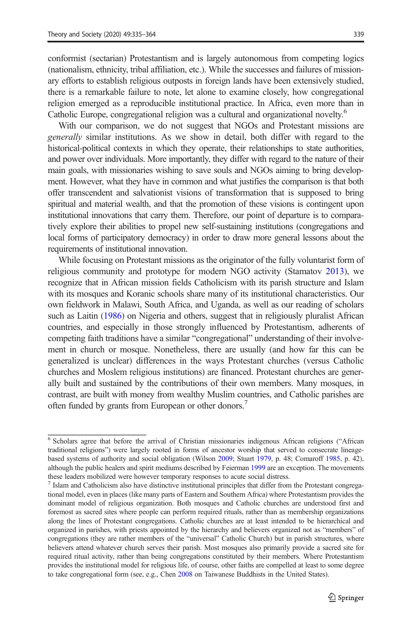conformist (sectarian) Protestantism and is largely autonomous from competing logics (nationalism, ethnicity, tribal affiliation, etc.). While the successes and failures of missionary efforts to establish religious outposts in foreign lands have been extensively studied, there is a remarkable failure to note, let alone to examine closely, how congregational religion emerged as a reproducible institutional practice. In Africa, even more than in Catholic Europe, congregational religion was a cultural and organizational novelty.<sup>6</sup>

With our comparison, we do not suggest that NGOs and Protestant missions are generally similar institutions. As we show in detail, both differ with regard to the historical-political contexts in which they operate, their relationships to state authorities, and power over individuals. More importantly, they differ with regard to the nature of their main goals, with missionaries wishing to save souls and NGOs aiming to bring development. However, what they have in common and what justifies the comparison is that both offer transcendent and salvationist visions of transformation that is supposed to bring spiritual and material wealth, and that the promotion of these visions is contingent upon institutional innovations that carry them. Therefore, our point of departure is to comparatively explore their abilities to propel new self-sustaining institutions (congregations and local forms of participatory democracy) in order to draw more general lessons about the requirements of institutional innovation.

While focusing on Protestant missions as the originator of the fully voluntarist form of religious community and prototype for modern NGO activity (Stamatov [2013](#page-28-0)), we recognize that in African mission fields Catholicism with its parish structure and Islam with its mosques and Koranic schools share many of its institutional characteristics. Our own fieldwork in Malawi, South Africa, and Uganda, as well as our reading of scholars such as Laitin ([1986\)](#page-27-0) on Nigeria and others, suggest that in religiously pluralist African countries, and especially in those strongly influenced by Protestantism, adherents of competing faith traditions have a similar "congregational" understanding of their involvement in church or mosque. Nonetheless, there are usually (and how far this can be generalized is unclear) differences in the ways Protestant churches (versus Catholic churches and Moslem religious institutions) are financed. Protestant churches are generally built and sustained by the contributions of their own members. Many mosques, in contrast, are built with money from wealthy Muslim countries, and Catholic parishes are often funded by grants from European or other donors.<sup>7</sup>

<sup>6</sup> Scholars agree that before the arrival of Christian missionaries indigenous African religions ("African traditional religions") were largely rooted in forms of ancestor worship that served to consecrate lineagebased systems of authority and social obligation (Wilson [2009](#page-29-0); Stuart [1979](#page-28-0), p. 48; Comaroff [1985](#page-26-0), p. 42), although the public healers and spirit mediums described by Feierman [1999](#page-26-0) are an exception. The movements these leaders mobilized were however temporary responses to acute social distress.

 $<sup>7</sup>$  Islam and Catholicism also have distinctive institutional principles that differ from the Protestant congrega-</sup> tional model, even in places (like many parts of Eastern and Southern Africa) where Protestantism provides the dominant model of religious organization. Both mosques and Catholic churches are understood first and foremost as sacred sites where people can perform required rituals, rather than as membership organizations along the lines of Protestant congregations. Catholic churches are at least intended to be hierarchical and organized in parishes, with priests appointed by the hierarchy and believers organized not as "members" of congregations (they are rather members of the "universal" Catholic Church) but in parish structures, where believers attend whatever church serves their parish. Most mosques also primarily provide a sacred site for required ritual activity, rather than being congregations constituted by their members. Where Protestantism provides the institutional model for religious life, of course, other faiths are compelled at least to some degree to take congregational form (see, e.g., Chen [2008](#page-26-0) on Taiwanese Buddhists in the United States).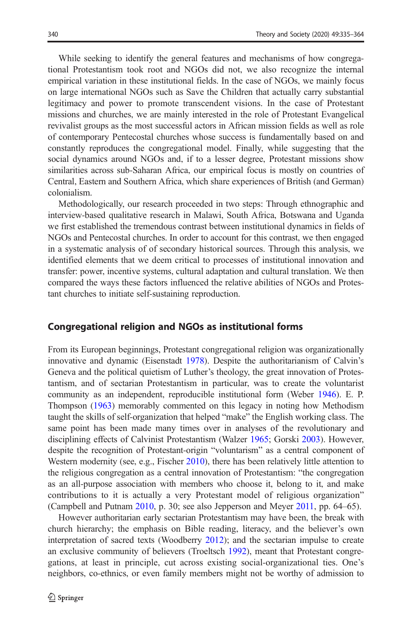While seeking to identify the general features and mechanisms of how congregational Protestantism took root and NGOs did not, we also recognize the internal empirical variation in these institutional fields. In the case of NGOs, we mainly focus on large international NGOs such as Save the Children that actually carry substantial legitimacy and power to promote transcendent visions. In the case of Protestant missions and churches, we are mainly interested in the role of Protestant Evangelical revivalist groups as the most successful actors in African mission fields as well as role of contemporary Pentecostal churches whose success is fundamentally based on and constantly reproduces the congregational model. Finally, while suggesting that the social dynamics around NGOs and, if to a lesser degree, Protestant missions show similarities across sub-Saharan Africa, our empirical focus is mostly on countries of Central, Eastern and Southern Africa, which share experiences of British (and German) colonialism.

Methodologically, our research proceeded in two steps: Through ethnographic and interview-based qualitative research in Malawi, South Africa, Botswana and Uganda we first established the tremendous contrast between institutional dynamics in fields of NGOs and Pentecostal churches. In order to account for this contrast, we then engaged in a systematic analysis of of secondary historical sources. Through this analysis, we identified elements that we deem critical to processes of institutional innovation and transfer: power, incentive systems, cultural adaptation and cultural translation. We then compared the ways these factors influenced the relative abilities of NGOs and Protestant churches to initiate self-sustaining reproduction.

## Congregational religion and NGOs as institutional forms

From its European beginnings, Protestant congregational religion was organizationally innovative and dynamic (Eisenstadt [1978\)](#page-26-0). Despite the authoritarianism of Calvin's Geneva and the political quietism of Luther's theology, the great innovation of Protestantism, and of sectarian Protestantism in particular, was to create the voluntarist community as an independent, reproducible institutional form (Weber [1946\)](#page-29-0). E. P. Thompson ([1963](#page-29-0)) memorably commented on this legacy in noting how Methodism taught the skills of self-organization that helped "make" the English working class. The same point has been made many times over in analyses of the revolutionary and disciplining effects of Calvinist Protestantism (Walzer [1965;](#page-29-0) Gorski [2003\)](#page-27-0). However, despite the recognition of Protestant-origin "voluntarism" as a central component of Western modernity (see, e.g., Fischer [2010](#page-26-0)), there has been relatively little attention to the religious congregation as a central innovation of Protestantism: "the congregation as an all-purpose association with members who choose it, belong to it, and make contributions to it is actually a very Protestant model of religious organization" (Campbell and Putnam [2010](#page-25-0), p. 30; see also Jepperson and Meyer [2011](#page-27-0), pp. 64–65).

However authoritarian early sectarian Protestantism may have been, the break with church hierarchy; the emphasis on Bible reading, literacy, and the believer's own interpretation of sacred texts (Woodberry [2012\)](#page-29-0); and the sectarian impulse to create an exclusive community of believers (Troeltsch [1992\)](#page-29-0), meant that Protestant congregations, at least in principle, cut across existing social-organizational ties. One's neighbors, co-ethnics, or even family members might not be worthy of admission to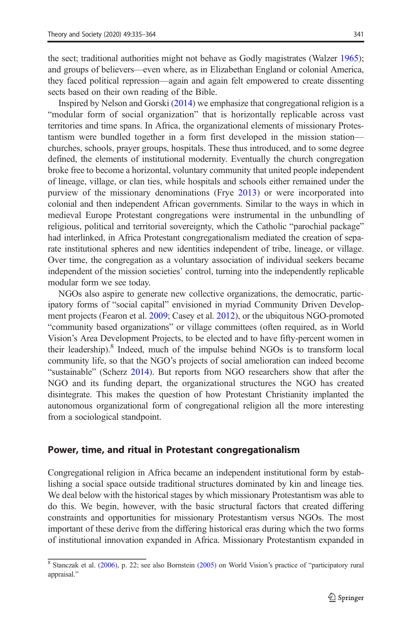the sect; traditional authorities might not behave as Godly magistrates (Walzer [1965\)](#page-29-0); and groups of believers—even where, as in Elizabethan England or colonial America, they faced political repression—again and again felt empowered to create dissenting sects based on their own reading of the Bible.

Inspired by Nelson and Gorski ([2014](#page-28-0)) we emphasize that congregational religion is a "modular form of social organization" that is horizontally replicable across vast territories and time spans. In Africa, the organizational elements of missionary Protestantism were bundled together in a form first developed in the mission station churches, schools, prayer groups, hospitals. These thus introduced, and to some degree defined, the elements of institutional modernity. Eventually the church congregation broke free to become a horizontal, voluntary community that united people independent of lineage, village, or clan ties, while hospitals and schools either remained under the purview of the missionary denominations (Frye [2013](#page-26-0)) or were incorporated into colonial and then independent African governments. Similar to the ways in which in medieval Europe Protestant congregations were instrumental in the unbundling of religious, political and territorial sovereignty, which the Catholic "parochial package" had interlinked, in Africa Protestant congregationalism mediated the creation of separate institutional spheres and new identities independent of tribe, lineage, or village. Over time, the congregation as a voluntary association of individual seekers became independent of the mission societies' control, turning into the independently replicable modular form we see today.

NGOs also aspire to generate new collective organizations, the democratic, participatory forms of "social capital" envisioned in myriad Community Driven Development projects (Fearon et al. [2009;](#page-26-0) Casey et al. [2012\)](#page-25-0), or the ubiquitous NGO-promoted "community based organizations" or village committees (often required, as in World Vision's Area Development Projects, to be elected and to have fifty-percent women in their leadership).<sup>8</sup> Indeed, much of the impulse behind NGOs is to transform local community life, so that the NGO's projects of social amelioration can indeed become "sustainable" (Scherz [2014](#page-28-0)). But reports from NGO researchers show that after the NGO and its funding depart, the organizational structures the NGO has created disintegrate. This makes the question of how Protestant Christianity implanted the autonomous organizational form of congregational religion all the more interesting from a sociological standpoint.

#### Power, time, and ritual in Protestant congregationalism

Congregational religion in Africa became an independent institutional form by establishing a social space outside traditional structures dominated by kin and lineage ties. We deal below with the historical stages by which missionary Protestantism was able to do this. We begin, however, with the basic structural factors that created differing constraints and opportunities for missionary Protestantism versus NGOs. The most important of these derive from the differing historical eras during which the two forms of institutional innovation expanded in Africa. Missionary Protestantism expanded in

<sup>8</sup> Stanczak et al. [\(2006\)](#page-28-0), p. 22; see also Bornstein [\(2005](#page-25-0)) on World Vision's practice of "participatory rural appraisal."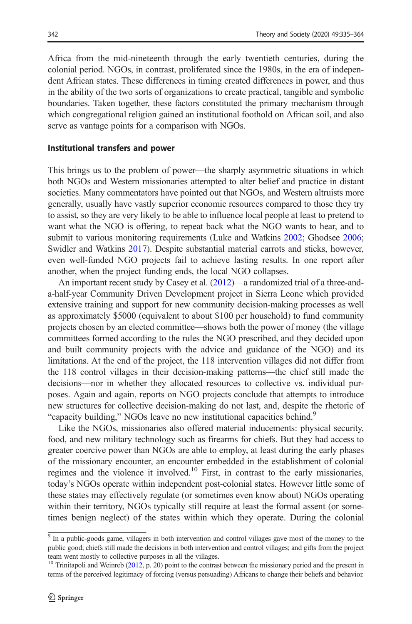Africa from the mid-nineteenth through the early twentieth centuries, during the colonial period. NGOs, in contrast, proliferated since the 1980s, in the era of independent African states. These differences in timing created differences in power, and thus in the ability of the two sorts of organizations to create practical, tangible and symbolic boundaries. Taken together, these factors constituted the primary mechanism through which congregational religion gained an institutional foothold on African soil, and also serve as vantage points for a comparison with NGOs.

#### Institutional transfers and power

This brings us to the problem of power—the sharply asymmetric situations in which both NGOs and Western missionaries attempted to alter belief and practice in distant societies. Many commentators have pointed out that NGOs, and Western altruists more generally, usually have vastly superior economic resources compared to those they try to assist, so they are very likely to be able to influence local people at least to pretend to want what the NGO is offering, to repeat back what the NGO wants to hear, and to submit to various monitoring requirements (Luke and Watkins [2002;](#page-27-0) Ghodsee [2006;](#page-27-0) Swidler and Watkins [2017\)](#page-29-0). Despite substantial material carrots and sticks, however, even well-funded NGO projects fail to achieve lasting results. In one report after another, when the project funding ends, the local NGO collapses.

An important recent study by Casey et al. [\(2012\)](#page-25-0)—a randomized trial of a three-anda-half-year Community Driven Development project in Sierra Leone which provided extensive training and support for new community decision-making processes as well as approximately \$5000 (equivalent to about \$100 per household) to fund community projects chosen by an elected committee—shows both the power of money (the village committees formed according to the rules the NGO prescribed, and they decided upon and built community projects with the advice and guidance of the NGO) and its limitations. At the end of the project, the 118 intervention villages did not differ from the 118 control villages in their decision-making patterns—the chief still made the decisions—nor in whether they allocated resources to collective vs. individual purposes. Again and again, reports on NGO projects conclude that attempts to introduce new structures for collective decision-making do not last, and, despite the rhetoric of "capacity building," NGOs leave no new institutional capacities behind.<sup>9</sup>

Like the NGOs, missionaries also offered material inducements: physical security, food, and new military technology such as firearms for chiefs. But they had access to greater coercive power than NGOs are able to employ, at least during the early phases of the missionary encounter, an encounter embedded in the establishment of colonial regimes and the violence it involved.<sup>10</sup> First, in contrast to the early missionaries, today's NGOs operate within independent post-colonial states. However little some of these states may effectively regulate (or sometimes even know about) NGOs operating within their territory, NGOs typically still require at least the formal assent (or sometimes benign neglect) of the states within which they operate. During the colonial

<sup>&</sup>lt;sup>9</sup> In a public-goods game, villagers in both intervention and control villages gave most of the money to the public good; chiefs still made the decisions in both intervention and control villages; and gifts from the project team went mostly to collective purposes in all the villages.

<sup>&</sup>lt;sup>10</sup> Trinitapoli and Weinreb ([2012,](#page-29-0) p. 20) point to the contrast between the missionary period and the present in terms of the perceived legitimacy of forcing (versus persuading) Africans to change their beliefs and behavior.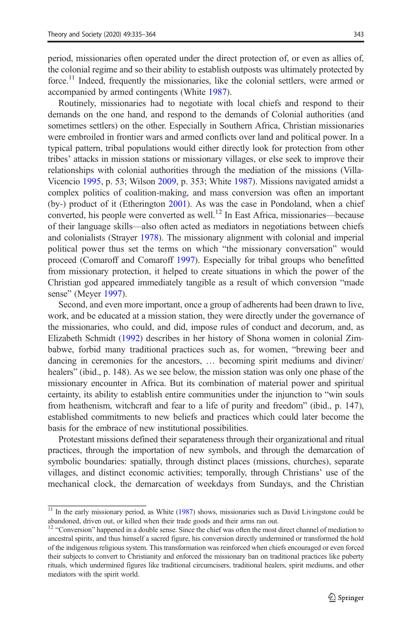the colonial regime and so their ability to establish outposts was ultimately protected by force.<sup>11</sup> Indeed, frequently the missionaries, like the colonial settlers, were armed or accompanied by armed contingents (White [1987\)](#page-29-0).

Routinely, missionaries had to negotiate with local chiefs and respond to their demands on the one hand, and respond to the demands of Colonial authorities (and sometimes settlers) on the other. Especially in Southern Africa, Christian missionaries were embroiled in frontier wars and armed conflicts over land and political power. In a typical pattern, tribal populations would either directly look for protection from other tribes' attacks in mission stations or missionary villages, or else seek to improve their relationships with colonial authorities through the mediation of the missions (Villa-Vicencio [1995,](#page-29-0) p. 53; Wilson [2009](#page-29-0), p. 353; White [1987](#page-29-0)). Missions navigated amidst a complex politics of coalition-making, and mass conversion was often an important (by-) product of it (Etherington [2001\)](#page-26-0). As was the case in Pondoland, when a chief converted, his people were converted as well.12 In East Africa, missionaries—because of their language skills—also often acted as mediators in negotiations between chiefs and colonialists (Strayer [1978](#page-28-0)). The missionary alignment with colonial and imperial political power thus set the terms on which "the missionary conversation" would proceed (Comaroff and Comaroff [1997\)](#page-26-0). Especially for tribal groups who benefitted from missionary protection, it helped to create situations in which the power of the Christian god appeared immediately tangible as a result of which conversion "made sense" (Meyer [1997](#page-28-0)).

Second, and even more important, once a group of adherents had been drawn to live, work, and be educated at a mission station, they were directly under the governance of the missionaries, who could, and did, impose rules of conduct and decorum, and, as Elizabeth Schmidt ([1992](#page-28-0)) describes in her history of Shona women in colonial Zimbabwe, forbid many traditional practices such as, for women, "brewing beer and dancing in ceremonies for the ancestors, … becoming spirit mediums and diviner/ healers" (ibid., p. 148). As we see below, the mission station was only one phase of the missionary encounter in Africa. But its combination of material power and spiritual certainty, its ability to establish entire communities under the injunction to "win souls from heathenism, witchcraft and fear to a life of purity and freedom" (ibid., p. 147), established commitments to new beliefs and practices which could later become the basis for the embrace of new institutional possibilities.

Protestant missions defined their separateness through their organizational and ritual practices, through the importation of new symbols, and through the demarcation of symbolic boundaries: spatially, through distinct places (missions, churches), separate villages, and distinct economic activities; temporally, through Christians' use of the mechanical clock, the demarcation of weekdays from Sundays, and the Christian

 $\frac{11}{11}$  In the early missionary period, as White [\(1987\)](#page-29-0) shows, missionaries such as David Livingstone could be abandoned, driven out, or killed when their trade goods and their arms ran out.

<sup>&</sup>lt;sup>12</sup> "Conversion" happened in a double sense. Since the chief was often the most direct channel of mediation to ancestral spirits, and thus himself a sacred figure, his conversion directly undermined or transformed the hold of the indigenous religious system. This transformation was reinforced when chiefs encouraged or even forced their subjects to convert to Christianity and enforced the missionary ban on traditional practices like puberty rituals, which undermined figures like traditional circumcisers, traditional healers, spirit mediums, and other mediators with the spirit world.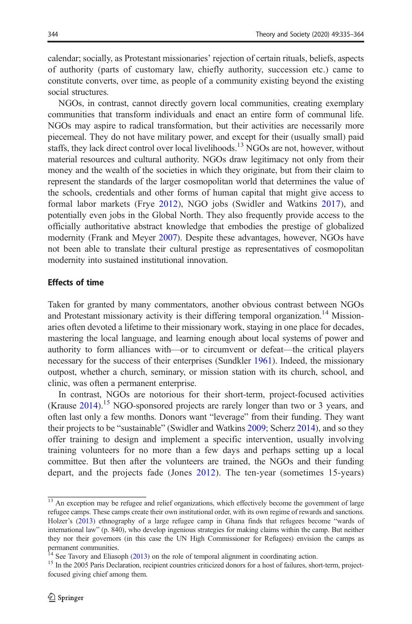calendar; socially, as Protestant missionaries' rejection of certain rituals, beliefs, aspects of authority (parts of customary law, chiefly authority, succession etc.) came to constitute converts, over time, as people of a community existing beyond the existing social structures.

NGOs, in contrast, cannot directly govern local communities, creating exemplary communities that transform individuals and enact an entire form of communal life. NGOs may aspire to radical transformation, but their activities are necessarily more piecemeal. They do not have military power, and except for their (usually small) paid staffs, they lack direct control over local livelihoods.<sup>13</sup> NGOs are not, however, without material resources and cultural authority. NGOs draw legitimacy not only from their money and the wealth of the societies in which they originate, but from their claim to represent the standards of the larger cosmopolitan world that determines the value of the schools, credentials and other forms of human capital that might give access to formal labor markets (Frye [2012\)](#page-26-0), NGO jobs (Swidler and Watkins [2017](#page-29-0)), and potentially even jobs in the Global North. They also frequently provide access to the officially authoritative abstract knowledge that embodies the prestige of globalized modernity (Frank and Meyer [2007\)](#page-26-0). Despite these advantages, however, NGOs have not been able to translate their cultural prestige as representatives of cosmopolitan modernity into sustained institutional innovation.

## Effects of time

Taken for granted by many commentators, another obvious contrast between NGOs and Protestant missionary activity is their differing temporal organization.<sup>14</sup> Missionaries often devoted a lifetime to their missionary work, staying in one place for decades, mastering the local language, and learning enough about local systems of power and authority to form alliances with—or to circumvent or defeat—the critical players necessary for the success of their enterprises (Sundkler [1961](#page-28-0)). Indeed, the missionary outpost, whether a church, seminary, or mission station with its church, school, and clinic, was often a permanent enterprise.

In contrast, NGOs are notorious for their short-term, project-focused activities (Krause [2014](#page-27-0)).<sup>15</sup> NGO-sponsored projects are rarely longer than two or 3 years, and often last only a few months. Donors want "leverage" from their funding. They want their projects to be "sustainable" (Swidler and Watkins [2009;](#page-29-0) Scherz [2014](#page-28-0)), and so they offer training to design and implement a specific intervention, usually involving training volunteers for no more than a few days and perhaps setting up a local committee. But then after the volunteers are trained, the NGOs and their funding depart, and the projects fade (Jones [2012](#page-27-0)). The ten-year (sometimes 15-years)

<sup>&</sup>lt;sup>13</sup> An exception may be refugee and relief organizations, which effectively become the government of large refugee camps. These camps create their own institutional order, with its own regime of rewards and sanctions. Holzer's ([2013](#page-27-0)) ethnography of a large refugee camp in Ghana finds that refugees become "wards of international law" (p. 840), who develop ingenious strategies for making claims within the camp. But neither they nor their governors (in this case the UN High Commissioner for Refugees) envision the camps as permanent communities.<br><sup>14</sup> See Tavory and Eliasoph (2013) on the role of temporal alignment in coordinating action.

<sup>&</sup>lt;sup>15</sup> In the 2005 Paris Declaration, recipient countries criticized donors for a host of failures, short-term, projectfocused giving chief among them.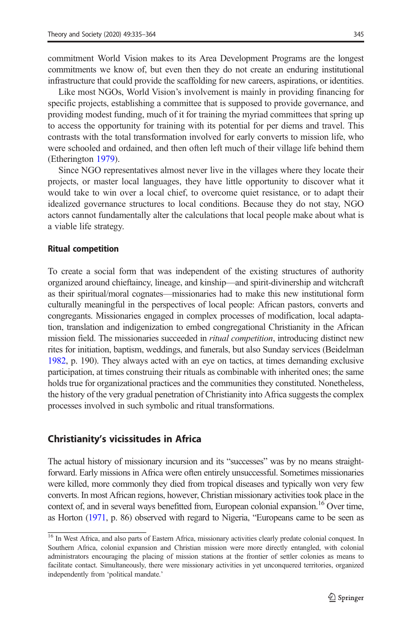commitment World Vision makes to its Area Development Programs are the longest commitments we know of, but even then they do not create an enduring institutional infrastructure that could provide the scaffolding for new careers, aspirations, or identities.

Like most NGOs, World Vision's involvement is mainly in providing financing for specific projects, establishing a committee that is supposed to provide governance, and providing modest funding, much of it for training the myriad committees that spring up to access the opportunity for training with its potential for per diems and travel. This contrasts with the total transformation involved for early converts to mission life, who were schooled and ordained, and then often left much of their village life behind them (Etherington [1979](#page-26-0)).

Since NGO representatives almost never live in the villages where they locate their projects, or master local languages, they have little opportunity to discover what it would take to win over a local chief, to overcome quiet resistance, or to adapt their idealized governance structures to local conditions. Because they do not stay, NGO actors cannot fundamentally alter the calculations that local people make about what is a viable life strategy.

#### Ritual competition

To create a social form that was independent of the existing structures of authority organized around chieftaincy, lineage, and kinship—and spirit-divinership and witchcraft as their spiritual/moral cognates—missionaries had to make this new institutional form culturally meaningful in the perspectives of local people: African pastors, converts and congregants. Missionaries engaged in complex processes of modification, local adaptation, translation and indigenization to embed congregational Christianity in the African mission field. The missionaries succeeded in *ritual competition*, introducing distinct new rites for initiation, baptism, weddings, and funerals, but also Sunday services (Beidelman [1982](#page-25-0), p. 190). They always acted with an eye on tactics, at times demanding exclusive participation, at times construing their rituals as combinable with inherited ones; the same holds true for organizational practices and the communities they constituted. Nonetheless, the history of the very gradual penetration of Christianity into Africa suggests the complex processes involved in such symbolic and ritual transformations.

## Christianity's vicissitudes in Africa

The actual history of missionary incursion and its "successes" was by no means straightforward. Early missions in Africa were often entirely unsuccessful. Sometimes missionaries were killed, more commonly they died from tropical diseases and typically won very few converts. In most African regions, however, Christian missionary activities took place in the context of, and in several ways benefitted from, European colonial expansion.<sup>16</sup> Over time, as Horton [\(1971,](#page-27-0) p. 86) observed with regard to Nigeria, "Europeans came to be seen as

<sup>&</sup>lt;sup>16</sup> In West Africa, and also parts of Eastern Africa, missionary activities clearly predate colonial conquest. In Southern Africa, colonial expansion and Christian mission were more directly entangled, with colonial administrators encouraging the placing of mission stations at the frontier of settler colonies as means to facilitate contact. Simultaneously, there were missionary activities in yet unconquered territories, organized independently from 'political mandate.'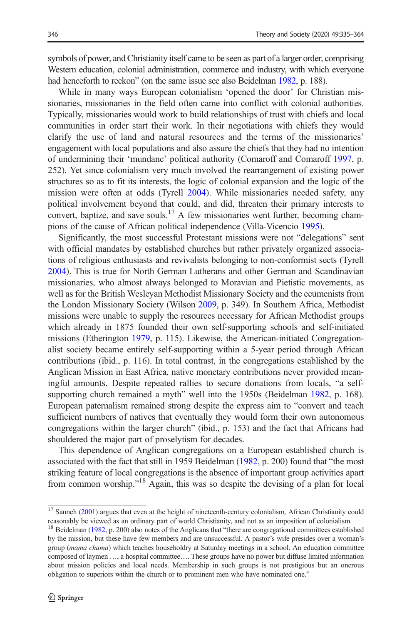symbols of power, and Christianity itself came to be seen as part of a larger order, comprising Western education, colonial administration, commerce and industry, with which everyone had henceforth to reckon" (on the same issue see also Beidelman [1982,](#page-25-0) p. 188).

While in many ways European colonialism 'opened the door' for Christian missionaries, missionaries in the field often came into conflict with colonial authorities. Typically, missionaries would work to build relationships of trust with chiefs and local communities in order start their work. In their negotiations with chiefs they would clarify the use of land and natural resources and the terms of the missionaries' engagement with local populations and also assure the chiefs that they had no intention of undermining their 'mundane' political authority (Comaroff and Comaroff [1997](#page-26-0), p. 252). Yet since colonialism very much involved the rearrangement of existing power structures so as to fit its interests, the logic of colonial expansion and the logic of the mission were often at odds (Tyrell [2004\)](#page-29-0). While missionaries needed safety, any political involvement beyond that could, and did, threaten their primary interests to convert, baptize, and save souls.<sup>17</sup> A few missionaries went further, becoming champions of the cause of African political independence (Villa-Vicencio [1995\)](#page-29-0).

Significantly, the most successful Protestant missions were not "delegations" sent with official mandates by established churches but rather privately organized associations of religious enthusiasts and revivalists belonging to non-conformist sects (Tyrell [2004\)](#page-29-0). This is true for North German Lutherans and other German and Scandinavian missionaries, who almost always belonged to Moravian and Pietistic movements, as well as for the British Wesleyan Methodist Missionary Society and the ecumenists from the London Missionary Society (Wilson [2009](#page-29-0), p. 349). In Southern Africa, Methodist missions were unable to supply the resources necessary for African Methodist groups which already in 1875 founded their own self-supporting schools and self-initiated missions (Etherington [1979](#page-26-0), p. 115). Likewise, the American-initiated Congregationalist society became entirely self-supporting within a 5-year period through African contributions (ibid., p. 116). In total contrast, in the congregations established by the Anglican Mission in East Africa, native monetary contributions never provided meaningful amounts. Despite repeated rallies to secure donations from locals, "a self-supporting church remained a myth" well into the 1950s (Beidelman [1982](#page-25-0), p. 168). European paternalism remained strong despite the express aim to "convert and teach sufficient numbers of natives that eventually they would form their own autonomous congregations within the larger church" (ibid., p. 153) and the fact that Africans had shouldered the major part of proselytism for decades.

This dependence of Anglican congregations on a European established church is associated with the fact that still in 1959 Beidelman [\(1982,](#page-25-0) p. 200) found that "the most striking feature of local congregations is the absence of important group activities apart from common worship."<sup>18</sup> Again, this was so despite the devising of a plan for local

 $\frac{17}{17}$  Sanneh ([2001\)](#page-28-0) argues that even at the height of nineteenth-century colonialism, African Christianity could reasonably be viewed as an ordinary part of world Christianity, and not as an imposition of colonialism.

<sup>&</sup>lt;sup>18</sup> Beidelman ([1982](#page-25-0), p. 200) also notes of the Anglicans that "there are congregational committees established by the mission, but these have few members and are unsuccessful. A pastor's wife presides over a woman's group (mama chama) which teaches householdry at Saturday meetings in a school. An education committee composed of laymen …, a hospital committee…. These groups have no power but diffuse limited information about mission policies and local needs. Membership in such groups is not prestigious but an onerous obligation to superiors within the church or to prominent men who have nominated one."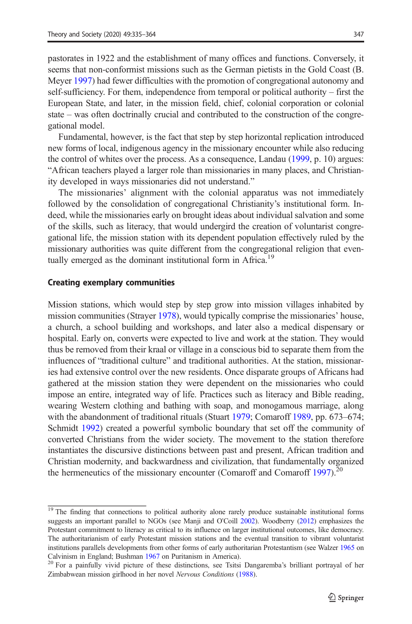pastorates in 1922 and the establishment of many offices and functions. Conversely, it seems that non-conformist missions such as the German pietists in the Gold Coast (B. Meyer [1997](#page-28-0)) had fewer difficulties with the promotion of congregational autonomy and self-sufficiency. For them, independence from temporal or political authority – first the European State, and later, in the mission field, chief, colonial corporation or colonial state – was often doctrinally crucial and contributed to the construction of the congregational model.

Fundamental, however, is the fact that step by step horizontal replication introduced new forms of local, indigenous agency in the missionary encounter while also reducing the control of whites over the process. As a consequence, Landau ([1999](#page-27-0), p. 10) argues: "African teachers played a larger role than missionaries in many places, and Christianity developed in ways missionaries did not understand."

The missionaries' alignment with the colonial apparatus was not immediately followed by the consolidation of congregational Christianity's institutional form. Indeed, while the missionaries early on brought ideas about individual salvation and some of the skills, such as literacy, that would undergird the creation of voluntarist congregational life, the mission station with its dependent population effectively ruled by the missionary authorities was quite different from the congregational religion that eventually emerged as the dominant institutional form in Africa.<sup>19</sup>

#### Creating exemplary communities

Mission stations, which would step by step grow into mission villages inhabited by mission communities (Strayer [1978](#page-28-0)), would typically comprise the missionaries' house, a church, a school building and workshops, and later also a medical dispensary or hospital. Early on, converts were expected to live and work at the station. They would thus be removed from their kraal or village in a conscious bid to separate them from the influences of "traditional culture" and traditional authorities. At the station, missionaries had extensive control over the new residents. Once disparate groups of Africans had gathered at the mission station they were dependent on the missionaries who could impose an entire, integrated way of life. Practices such as literacy and Bible reading, wearing Western clothing and bathing with soap, and monogamous marriage, along with the abandonment of traditional rituals (Stuart [1979;](#page-28-0) Comaroff [1989,](#page-26-0) pp. 673–674; Schmidt [1992](#page-28-0)) created a powerful symbolic boundary that set off the community of converted Christians from the wider society. The movement to the station therefore instantiates the discursive distinctions between past and present, African tradition and Christian modernity, and backwardness and civilization, that fundamentally organized the hermeneutics of the missionary encounter (Comaroff and Comaroff [1997](#page-26-0)).<sup>20</sup>

<sup>&</sup>lt;sup>19</sup> The finding that connections to political authority alone rarely produce sustainable institutional forms suggests an important parallel to NGOs (see Manji and O'Coill [2002](#page-27-0)). Woodberry ([2012](#page-29-0)) emphasizes the Protestant commitment to literacy as critical to its influence on larger institutional outcomes, like democracy. The authoritarianism of early Protestant mission stations and the eventual transition to vibrant voluntarist institutions parallels developments from other forms of early authoritarian Protestantism (see Walzer [1965](#page-29-0) on

Calvinism in England; Bushman [1967](#page-25-0) on Puritanism in America). <sup>20</sup> For a painfully vivid picture of these distinctions, see Tsitsi Dangaremba's brilliant portrayal of her Zimbabwean mission girlhood in her novel Nervous Conditions ([1988](#page-26-0)).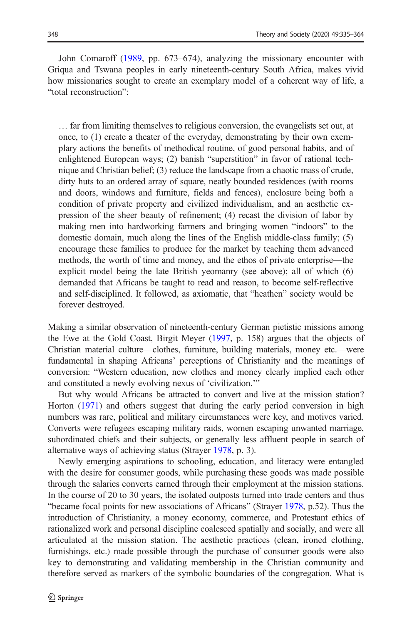John Comaroff ([1989](#page-26-0), pp. 673–674), analyzing the missionary encounter with Griqua and Tswana peoples in early nineteenth-century South Africa, makes vivid how missionaries sought to create an exemplary model of a coherent way of life, a "total reconstruction":

… far from limiting themselves to religious conversion, the evangelists set out, at once, to (1) create a theater of the everyday, demonstrating by their own exemplary actions the benefits of methodical routine, of good personal habits, and of enlightened European ways; (2) banish "superstition" in favor of rational technique and Christian belief; (3) reduce the landscape from a chaotic mass of crude, dirty huts to an ordered array of square, neatly bounded residences (with rooms and doors, windows and furniture, fields and fences), enclosure being both a condition of private property and civilized individualism, and an aesthetic expression of the sheer beauty of refinement; (4) recast the division of labor by making men into hardworking farmers and bringing women "indoors" to the domestic domain, much along the lines of the English middle-class family; (5) encourage these families to produce for the market by teaching them advanced methods, the worth of time and money, and the ethos of private enterprise—the explicit model being the late British yeomanry (see above); all of which (6) demanded that Africans be taught to read and reason, to become self-reflective and self-disciplined. It followed, as axiomatic, that "heathen" society would be forever destroyed.

Making a similar observation of nineteenth-century German pietistic missions among the Ewe at the Gold Coast, Birgit Meyer [\(1997,](#page-28-0) p. 158) argues that the objects of Christian material culture—clothes, furniture, building materials, money etc.—were fundamental in shaping Africans' perceptions of Christianity and the meanings of conversion: "Western education, new clothes and money clearly implied each other and constituted a newly evolving nexus of 'civilization.'"

But why would Africans be attracted to convert and live at the mission station? Horton [\(1971\)](#page-27-0) and others suggest that during the early period conversion in high numbers was rare, political and military circumstances were key, and motives varied. Converts were refugees escaping military raids, women escaping unwanted marriage, subordinated chiefs and their subjects, or generally less affluent people in search of alternative ways of achieving status (Strayer [1978](#page-28-0), p. 3).

Newly emerging aspirations to schooling, education, and literacy were entangled with the desire for consumer goods, while purchasing these goods was made possible through the salaries converts earned through their employment at the mission stations. In the course of 20 to 30 years, the isolated outposts turned into trade centers and thus "became focal points for new associations of Africans" (Strayer [1978](#page-28-0), p.52). Thus the introduction of Christianity, a money economy, commerce, and Protestant ethics of rationalized work and personal discipline coalesced spatially and socially, and were all articulated at the mission station. The aesthetic practices (clean, ironed clothing, furnishings, etc.) made possible through the purchase of consumer goods were also key to demonstrating and validating membership in the Christian community and therefore served as markers of the symbolic boundaries of the congregation. What is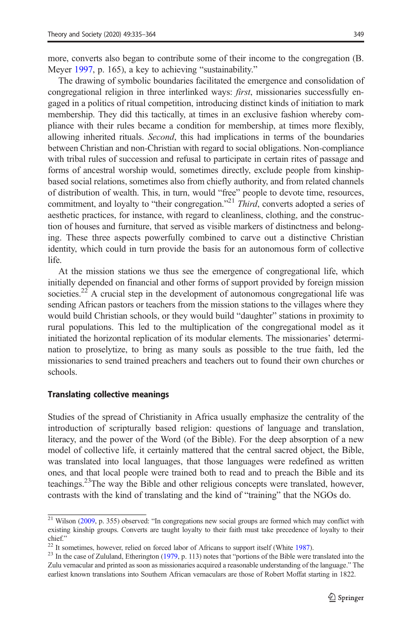more, converts also began to contribute some of their income to the congregation (B. Meyer [1997,](#page-28-0) p. 165), a key to achieving "sustainability."

The drawing of symbolic boundaries facilitated the emergence and consolidation of congregational religion in three interlinked ways: *first*, missionaries successfully engaged in a politics of ritual competition, introducing distinct kinds of initiation to mark membership. They did this tactically, at times in an exclusive fashion whereby compliance with their rules became a condition for membership, at times more flexibly, allowing inherited rituals. Second, this had implications in terms of the boundaries between Christian and non-Christian with regard to social obligations. Non-compliance with tribal rules of succession and refusal to participate in certain rites of passage and forms of ancestral worship would, sometimes directly, exclude people from kinshipbased social relations, sometimes also from chiefly authority, and from related channels of distribution of wealth. This, in turn, would "free" people to devote time, resources, commitment, and loyalty to "their congregation."<sup>21</sup> Third, converts adopted a series of aesthetic practices, for instance, with regard to cleanliness, clothing, and the construction of houses and furniture, that served as visible markers of distinctness and belonging. These three aspects powerfully combined to carve out a distinctive Christian identity, which could in turn provide the basis for an autonomous form of collective life.

At the mission stations we thus see the emergence of congregational life, which initially depended on financial and other forms of support provided by foreign mission societies.<sup>22</sup> A crucial step in the development of autonomous congregational life was sending African pastors or teachers from the mission stations to the villages where they would build Christian schools, or they would build "daughter" stations in proximity to rural populations. This led to the multiplication of the congregational model as it initiated the horizontal replication of its modular elements. The missionaries' determination to proselytize, to bring as many souls as possible to the true faith, led the missionaries to send trained preachers and teachers out to found their own churches or schools.

#### Translating collective meanings

Studies of the spread of Christianity in Africa usually emphasize the centrality of the introduction of scripturally based religion: questions of language and translation, literacy, and the power of the Word (of the Bible). For the deep absorption of a new model of collective life, it certainly mattered that the central sacred object, the Bible, was translated into local languages, that those languages were redefined as written ones, and that local people were trained both to read and to preach the Bible and its teachings.<sup>23</sup>The way the Bible and other religious concepts were translated, however, contrasts with the kind of translating and the kind of "training" that the NGOs do.

<sup>&</sup>lt;sup>21</sup> Wilson ([2009](#page-29-0), p. 355) observed: "In congregations new social groups are formed which may conflict with existing kinship groups. Converts are taught loyalty to their faith must take precedence of loyalty to their

<sup>&</sup>lt;sup>22</sup> It sometimes, however, relied on forced labor of Africans to support itself (White [1987\)](#page-29-0).<br><sup>23</sup> In the case of Zululand, Etherington [\(1979,](#page-26-0) p. 113) notes that "portions of the Bible were translated into the Zulu vernacular and printed as soon as missionaries acquired a reasonable understanding of the language." The earliest known translations into Southern African vernaculars are those of Robert Moffat starting in 1822.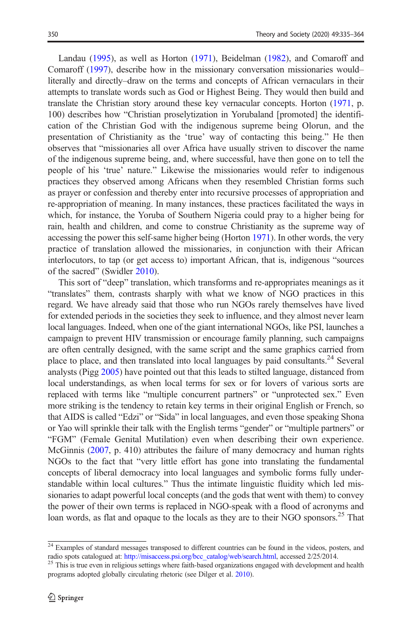Landau ([1995](#page-27-0)), as well as Horton [\(1971\)](#page-27-0), Beidelman [\(1982](#page-25-0)), and Comaroff and Comaroff [\(1997\)](#page-26-0), describe how in the missionary conversation missionaries would– literally and directly–draw on the terms and concepts of African vernaculars in their attempts to translate words such as God or Highest Being. They would then build and translate the Christian story around these key vernacular concepts. Horton [\(1971,](#page-27-0) p. 100) describes how "Christian proselytization in Yorubaland [promoted] the identification of the Christian God with the indigenous supreme being Olorun, and the presentation of Christianity as the 'true' way of contacting this being." He then observes that "missionaries all over Africa have usually striven to discover the name of the indigenous supreme being, and, where successful, have then gone on to tell the people of his 'true' nature." Likewise the missionaries would refer to indigenous practices they observed among Africans when they resembled Christian forms such as prayer or confession and thereby enter into recursive processes of appropriation and re-appropriation of meaning. In many instances, these practices facilitated the ways in which, for instance, the Yoruba of Southern Nigeria could pray to a higher being for rain, health and children, and come to construe Christianity as the supreme way of accessing the power this self-same higher being (Horton [1971\)](#page-27-0). In other words, the very practice of translation allowed the missionaries, in conjunction with their African interlocutors, to tap (or get access to) important African, that is, indigenous "sources of the sacred" (Swidler [2010](#page-28-0)).

This sort of "deep" translation, which transforms and re-appropriates meanings as it "translates" them, contrasts sharply with what we know of NGO practices in this regard. We have already said that those who run NGOs rarely themselves have lived for extended periods in the societies they seek to influence, and they almost never learn local languages. Indeed, when one of the giant international NGOs, like PSI, launches a campaign to prevent HIV transmission or encourage family planning, such campaigns are often centrally designed, with the same script and the same graphics carried from place to place, and then translated into local languages by paid consultants.<sup>24</sup> Several analysts (Pigg [2005](#page-28-0)) have pointed out that this leads to stilted language, distanced from local understandings, as when local terms for sex or for lovers of various sorts are replaced with terms like "multiple concurrent partners" or "unprotected sex." Even more striking is the tendency to retain key terms in their original English or French, so that AIDS is called "Edzi" or "Sida" in local languages, and even those speaking Shona or Yao will sprinkle their talk with the English terms "gender" or "multiple partners" or "FGM" (Female Genital Mutilation) even when describing their own experience. McGinnis [\(2007,](#page-27-0) p. 410) attributes the failure of many democracy and human rights NGOs to the fact that "very little effort has gone into translating the fundamental concepts of liberal democracy into local languages and symbolic forms fully understandable within local cultures." Thus the intimate linguistic fluidity which led missionaries to adapt powerful local concepts (and the gods that went with them) to convey the power of their own terms is replaced in NGO-speak with a flood of acronyms and loan words, as flat and opaque to the locals as they are to their NGO sponsors.<sup>25</sup> That

<sup>&</sup>lt;sup>24</sup> Examples of standard messages transposed to different countries can be found in the videos, posters, and radio spots catalogued at: http://misaccess.psi.org/bcc\_catalog/web/search.html, accessed  $2/25/2014$ .

<sup>&</sup>lt;sup>25</sup> This is true even in religious settings where faith-based organizations engaged with development and health programs adopted globally circulating rhetoric (see Dilger et al. [2010\)](#page-26-0).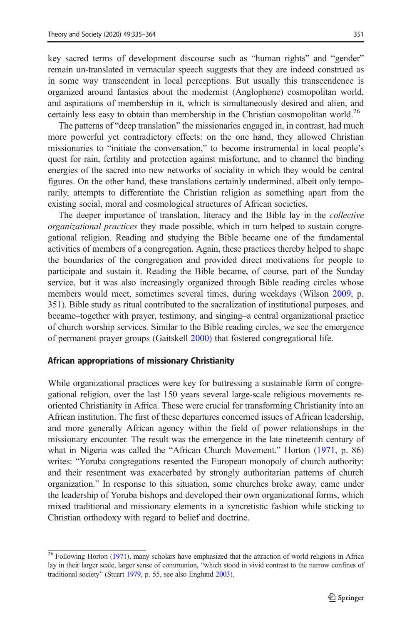key sacred terms of development discourse such as "human rights" and "gender" remain un-translated in vernacular speech suggests that they are indeed construed as in some way transcendent in local perceptions. But usually this transcendence is organized around fantasies about the modernist (Anglophone) cosmopolitan world, and aspirations of membership in it, which is simultaneously desired and alien, and certainly less easy to obtain than membership in the Christian cosmopolitan world.<sup>26</sup>

The patterns of "deep translation" the missionaries engaged in, in contrast, had much more powerful yet contradictory effects: on the one hand, they allowed Christian missionaries to "initiate the conversation," to become instrumental in local people's quest for rain, fertility and protection against misfortune, and to channel the binding energies of the sacred into new networks of sociality in which they would be central figures. On the other hand, these translations certainly undermined, albeit only temporarily, attempts to differentiate the Christian religion as something apart from the existing social, moral and cosmological structures of African societies.

The deeper importance of translation, literacy and the Bible lay in the collective organizational practices they made possible, which in turn helped to sustain congregational religion. Reading and studying the Bible became one of the fundamental activities of members of a congregation. Again, these practices thereby helped to shape the boundaries of the congregation and provided direct motivations for people to participate and sustain it. Reading the Bible became, of course, part of the Sunday service, but it was also increasingly organized through Bible reading circles whose members would meet, sometimes several times, during weekdays (Wilson [2009](#page-29-0), p. 351). Bible study as ritual contributed to the sacralization of institutional purposes, and became–together with prayer, testimony, and singing–a central organizational practice of church worship services. Similar to the Bible reading circles, we see the emergence of permanent prayer groups (Gaitskell [2000](#page-26-0)) that fostered congregational life.

#### African appropriations of missionary Christianity

While organizational practices were key for buttressing a sustainable form of congregational religion, over the last 150 years several large-scale religious movements reoriented Christianity in Africa. These were crucial for transforming Christianity into an African institution. The first of these departures concerned issues of African leadership, and more generally African agency within the field of power relationships in the missionary encounter. The result was the emergence in the late nineteenth century of what in Nigeria was called the "African Church Movement." Horton [\(1971,](#page-27-0) p. 86) writes: "Yoruba congregations resented the European monopoly of church authority; and their resentment was exacerbated by strongly authoritarian patterns of church organization." In response to this situation, some churches broke away, came under the leadership of Yoruba bishops and developed their own organizational forms, which mixed traditional and missionary elements in a syncretistic fashion while sticking to Christian orthodoxy with regard to belief and doctrine.

 $\frac{26}{26}$  Following Horton [\(1971](#page-27-0)), many scholars have emphasized that the attraction of world religions in Africa lay in their larger scale, larger sense of communion, "which stood in vivid contrast to the narrow confines of traditional society" (Stuart [1979](#page-28-0), p. 55, see also Englund [2003\)](#page-26-0).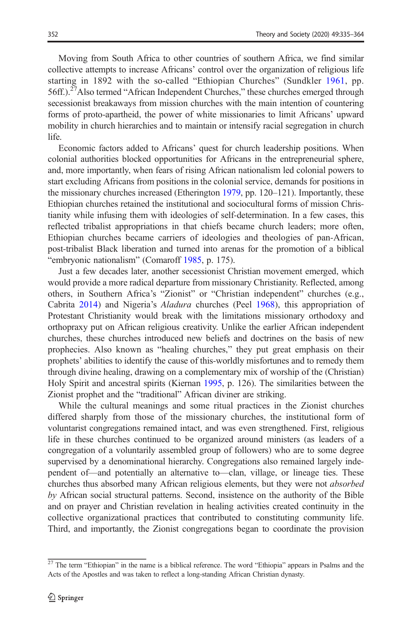Moving from South Africa to other countries of southern Africa, we find similar collective attempts to increase Africans' control over the organization of religious life starting in 1892 with the so-called "Ethiopian Churches" (Sundkler [1961](#page-28-0), pp. 56ff.).<sup>27</sup>Also termed "African Independent Churches," these churches emerged through secessionist breakaways from mission churches with the main intention of countering forms of proto-apartheid, the power of white missionaries to limit Africans' upward mobility in church hierarchies and to maintain or intensify racial segregation in church life.

Economic factors added to Africans' quest for church leadership positions. When colonial authorities blocked opportunities for Africans in the entrepreneurial sphere, and, more importantly, when fears of rising African nationalism led colonial powers to start excluding Africans from positions in the colonial service, demands for positions in the missionary churches increased (Etherington [1979,](#page-26-0) pp. 120–121). Importantly, these Ethiopian churches retained the institutional and sociocultural forms of mission Christianity while infusing them with ideologies of self-determination. In a few cases, this reflected tribalist appropriations in that chiefs became church leaders; more often, Ethiopian churches became carriers of ideologies and theologies of pan-African, post-tribalist Black liberation and turned into arenas for the promotion of a biblical "embryonic nationalism" (Comaroff [1985](#page-26-0), p. 175).

Just a few decades later, another secessionist Christian movement emerged, which would provide a more radical departure from missionary Christianity. Reflected, among others, in Southern Africa's "Zionist" or "Christian independent" churches (e.g., Cabrita [2014\)](#page-25-0) and Nigeria's Aladura churches (Peel [1968](#page-28-0)), this appropriation of Protestant Christianity would break with the limitations missionary orthodoxy and orthopraxy put on African religious creativity. Unlike the earlier African independent churches, these churches introduced new beliefs and doctrines on the basis of new prophecies. Also known as "healing churches," they put great emphasis on their prophets' abilities to identify the cause of this-worldly misfortunes and to remedy them through divine healing, drawing on a complementary mix of worship of the (Christian) Holy Spirit and ancestral spirits (Kiernan [1995,](#page-27-0) p. 126). The similarities between the Zionist prophet and the "traditional" African diviner are striking.

While the cultural meanings and some ritual practices in the Zionist churches differed sharply from those of the missionary churches, the institutional form of voluntarist congregations remained intact, and was even strengthened. First, religious life in these churches continued to be organized around ministers (as leaders of a congregation of a voluntarily assembled group of followers) who are to some degree supervised by a denominational hierarchy. Congregations also remained largely independent of—and potentially an alternative to—clan, village, or lineage ties. These churches thus absorbed many African religious elements, but they were not absorbed by African social structural patterns. Second, insistence on the authority of the Bible and on prayer and Christian revelation in healing activities created continuity in the collective organizational practices that contributed to constituting community life. Third, and importantly, the Zionist congregations began to coordinate the provision

<sup>&</sup>lt;sup>27</sup> The term "Ethiopian" in the name is a biblical reference. The word "Ethiopia" appears in Psalms and the Acts of the Apostles and was taken to reflect a long-standing African Christian dynasty.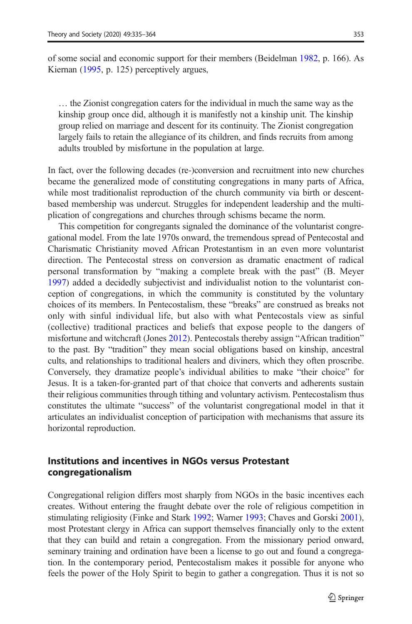of some social and economic support for their members (Beidelman [1982](#page-25-0), p. 166). As Kiernan [\(1995,](#page-27-0) p. 125) perceptively argues,

… the Zionist congregation caters for the individual in much the same way as the kinship group once did, although it is manifestly not a kinship unit. The kinship group relied on marriage and descent for its continuity. The Zionist congregation largely fails to retain the allegiance of its children, and finds recruits from among adults troubled by misfortune in the population at large.

In fact, over the following decades (re-)conversion and recruitment into new churches became the generalized mode of constituting congregations in many parts of Africa, while most traditionalist reproduction of the church community via birth or descentbased membership was undercut. Struggles for independent leadership and the multiplication of congregations and churches through schisms became the norm.

This competition for congregants signaled the dominance of the voluntarist congregational model. From the late 1970s onward, the tremendous spread of Pentecostal and Charismatic Christianity moved African Protestantism in an even more voluntarist direction. The Pentecostal stress on conversion as dramatic enactment of radical personal transformation by "making a complete break with the past" (B. Meyer [1997\)](#page-28-0) added a decidedly subjectivist and individualist notion to the voluntarist conception of congregations, in which the community is constituted by the voluntary choices of its members. In Pentecostalism, these "breaks" are construed as breaks not only with sinful individual life, but also with what Pentecostals view as sinful (collective) traditional practices and beliefs that expose people to the dangers of misfortune and witchcraft (Jones [2012\)](#page-27-0). Pentecostals thereby assign "African tradition" to the past. By "tradition" they mean social obligations based on kinship, ancestral cults, and relationships to traditional healers and diviners, which they often proscribe. Conversely, they dramatize people's individual abilities to make "their choice" for Jesus. It is a taken-for-granted part of that choice that converts and adherents sustain their religious communities through tithing and voluntary activism. Pentecostalism thus constitutes the ultimate "success" of the voluntarist congregational model in that it articulates an individualist conception of participation with mechanisms that assure its horizontal reproduction.

# Institutions and incentives in NGOs versus Protestant congregationalism

Congregational religion differs most sharply from NGOs in the basic incentives each creates. Without entering the fraught debate over the role of religious competition in stimulating religiosity (Finke and Stark [1992](#page-26-0); Warner [1993](#page-29-0); Chaves and Gorski [2001\)](#page-25-0), most Protestant clergy in Africa can support themselves financially only to the extent that they can build and retain a congregation. From the missionary period onward, seminary training and ordination have been a license to go out and found a congregation. In the contemporary period, Pentecostalism makes it possible for anyone who feels the power of the Holy Spirit to begin to gather a congregation. Thus it is not so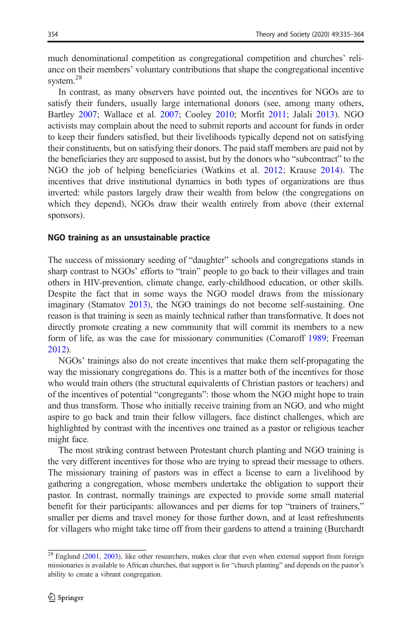much denominational competition as congregational competition and churches' reliance on their members' voluntary contributions that shape the congregational incentive system.<sup>28</sup>

In contrast, as many observers have pointed out, the incentives for NGOs are to satisfy their funders, usually large international donors (see, among many others, Bartley [2007](#page-25-0); Wallace et al. [2007;](#page-29-0) Cooley [2010;](#page-26-0) Morfit [2011;](#page-28-0) Jalali [2013\)](#page-27-0). NGO activists may complain about the need to submit reports and account for funds in order to keep their funders satisfied, but their livelihoods typically depend not on satisfying their constituents, but on satisfying their donors. The paid staff members are paid not by the beneficiaries they are supposed to assist, but by the donors who "subcontract" to the NGO the job of helping beneficiaries (Watkins et al. [2012;](#page-29-0) Krause [2014](#page-27-0)). The incentives that drive institutional dynamics in both types of organizations are thus inverted: while pastors largely draw their wealth from below (the congregations on which they depend), NGOs draw their wealth entirely from above (their external sponsors).

#### NGO training as an unsustainable practice

The success of missionary seeding of "daughter" schools and congregations stands in sharp contrast to NGOs' efforts to "train" people to go back to their villages and train others in HIV-prevention, climate change, early-childhood education, or other skills. Despite the fact that in some ways the NGO model draws from the missionary imaginary (Stamatov [2013](#page-28-0)), the NGO trainings do not become self-sustaining. One reason is that training is seen as mainly technical rather than transformative. It does not directly promote creating a new community that will commit its members to a new form of life, as was the case for missionary communities (Comaroff [1989](#page-26-0); Freeman [2012\)](#page-26-0).

NGOs' trainings also do not create incentives that make them self-propagating the way the missionary congregations do. This is a matter both of the incentives for those who would train others (the structural equivalents of Christian pastors or teachers) and of the incentives of potential "congregants": those whom the NGO might hope to train and thus transform. Those who initially receive training from an NGO, and who might aspire to go back and train their fellow villagers, face distinct challenges, which are highlighted by contrast with the incentives one trained as a pastor or religious teacher might face.

The most striking contrast between Protestant church planting and NGO training is the very different incentives for those who are trying to spread their message to others. The missionary training of pastors was in effect a license to earn a livelihood by gathering a congregation, whose members undertake the obligation to support their pastor. In contrast, normally trainings are expected to provide some small material benefit for their participants: allowances and per diems for top "trainers of trainers," smaller per diems and travel money for those further down, and at least refreshments for villagers who might take time off from their gardens to attend a training (Burchardt

 $\frac{28}{28}$  Englund ([2001](#page-26-0), [2003](#page-26-0)), like other researchers, makes clear that even when external support from foreign missionaries is available to African churches, that support is for "church planting" and depends on the pastor's ability to create a vibrant congregation.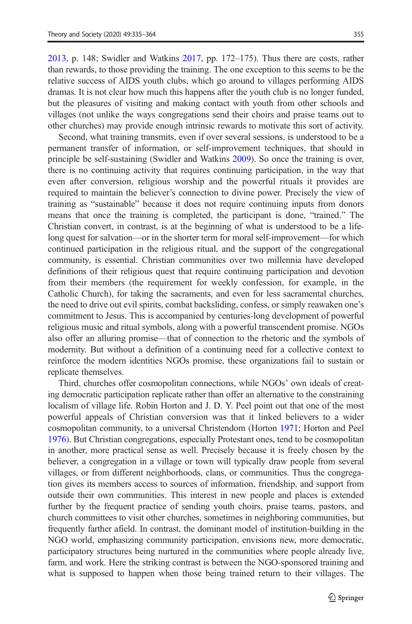[2013,](#page-25-0) p. 148; Swidler and Watkins [2017](#page-29-0), pp. 172–175). Thus there are costs, rather than rewards, to those providing the training. The one exception to this seems to be the relative success of AIDS youth clubs, which go around to villages performing AIDS dramas. It is not clear how much this happens after the youth club is no longer funded, but the pleasures of visiting and making contact with youth from other schools and villages (not unlike the ways congregations send their choirs and praise teams out to other churches) may provide enough intrinsic rewards to motivate this sort of activity.

Second, what training transmits, even if over several sessions, is understood to be a permanent transfer of information, or self-improvement techniques, that should in principle be self-sustaining (Swidler and Watkins [2009\)](#page-29-0). So once the training is over, there is no continuing activity that requires continuing participation, in the way that even after conversion, religious worship and the powerful rituals it provides are required to maintain the believer's connection to divine power. Precisely the view of training as "sustainable" because it does not require continuing inputs from donors means that once the training is completed, the participant is done, "trained." The Christian convert, in contrast, is at the beginning of what is understood to be a lifelong quest for salvation—or in the shorter term for moral self-improvement—for which continued participation in the religious ritual, and the support of the congregational community, is essential. Christian communities over two millennia have developed definitions of their religious quest that require continuing participation and devotion from their members (the requirement for weekly confession, for example, in the Catholic Church), for taking the sacraments, and even for less sacramental churches, the need to drive out evil spirits, combat backsliding, confess, or simply reawaken one's commitment to Jesus. This is accompanied by centuries-long development of powerful religious music and ritual symbols, along with a powerful transcendent promise. NGOs also offer an alluring promise—that of connection to the rhetoric and the symbols of modernity. But without a definition of a continuing need for a collective context to reinforce the modern identities NGOs promise, these organizations fail to sustain or replicate themselves.

Third, churches offer cosmopolitan connections, while NGOs' own ideals of creating democratic participation replicate rather than offer an alternative to the constraining localism of village life. Robin Horton and J. D. Y. Peel point out that one of the most powerful appeals of Christian conversion was that it linked believers to a wider cosmopolitan community, to a universal Christendom (Horton [1971](#page-27-0); Horton and Peel [1976\)](#page-27-0). But Christian congregations, especially Protestant ones, tend to be cosmopolitan in another, more practical sense as well. Precisely because it is freely chosen by the believer, a congregation in a village or town will typically draw people from several villages, or from different neighborhoods, clans, or communities. Thus the congregation gives its members access to sources of information, friendship, and support from outside their own communities. This interest in new people and places is extended further by the frequent practice of sending youth choirs, praise teams, pastors, and church committees to visit other churches, sometimes in neighboring communities, but frequently farther afield. In contrast, the dominant model of institution-building in the NGO world, emphasizing community participation, envisions new, more democratic, participatory structures being nurtured in the communities where people already live, farm, and work. Here the striking contrast is between the NGO-sponsored training and what is supposed to happen when those being trained return to their villages. The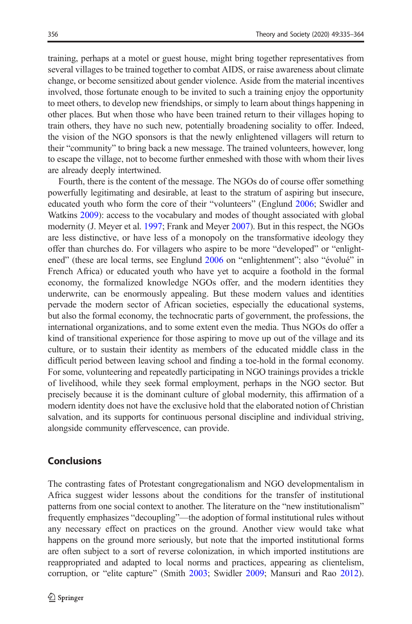training, perhaps at a motel or guest house, might bring together representatives from several villages to be trained together to combat AIDS, or raise awareness about climate change, or become sensitized about gender violence. Aside from the material incentives involved, those fortunate enough to be invited to such a training enjoy the opportunity to meet others, to develop new friendships, or simply to learn about things happening in other places. But when those who have been trained return to their villages hoping to train others, they have no such new, potentially broadening sociality to offer. Indeed, the vision of the NGO sponsors is that the newly enlightened villagers will return to their "community" to bring back a new message. The trained volunteers, however, long to escape the village, not to become further enmeshed with those with whom their lives are already deeply intertwined.

Fourth, there is the content of the message. The NGOs do of course offer something powerfully legitimating and desirable, at least to the stratum of aspiring but insecure, educated youth who form the core of their "volunteers" (Englund [2006;](#page-26-0) Swidler and Watkins [2009](#page-29-0)): access to the vocabulary and modes of thought associated with global modernity (J. Meyer et al. [1997](#page-28-0); Frank and Meyer [2007\)](#page-26-0). But in this respect, the NGOs are less distinctive, or have less of a monopoly on the transformative ideology they offer than churches do. For villagers who aspire to be more "developed" or "enlight-ened" (these are local terms, see Englund [2006](#page-26-0) on "enlightenment"; also "évolué" in French Africa) or educated youth who have yet to acquire a foothold in the formal economy, the formalized knowledge NGOs offer, and the modern identities they underwrite, can be enormously appealing. But these modern values and identities pervade the modern sector of African societies, especially the educational systems, but also the formal economy, the technocratic parts of government, the professions, the international organizations, and to some extent even the media. Thus NGOs do offer a kind of transitional experience for those aspiring to move up out of the village and its culture, or to sustain their identity as members of the educated middle class in the difficult period between leaving school and finding a toe-hold in the formal economy. For some, volunteering and repeatedly participating in NGO trainings provides a trickle of livelihood, while they seek formal employment, perhaps in the NGO sector. But precisely because it is the dominant culture of global modernity, this affirmation of a modern identity does not have the exclusive hold that the elaborated notion of Christian salvation, and its supports for continuous personal discipline and individual striving, alongside community effervescence, can provide.

# Conclusions

The contrasting fates of Protestant congregationalism and NGO developmentalism in Africa suggest wider lessons about the conditions for the transfer of institutional patterns from one social context to another. The literature on the "new institutionalism" frequently emphasizes "decoupling"—the adoption of formal institutional rules without any necessary effect on practices on the ground. Another view would take what happens on the ground more seriously, but note that the imported institutional forms are often subject to a sort of reverse colonization, in which imported institutions are reappropriated and adapted to local norms and practices, appearing as clientelism, corruption, or "elite capture" (Smith [2003](#page-28-0); Swidler [2009;](#page-28-0) Mansuri and Rao [2012\)](#page-27-0).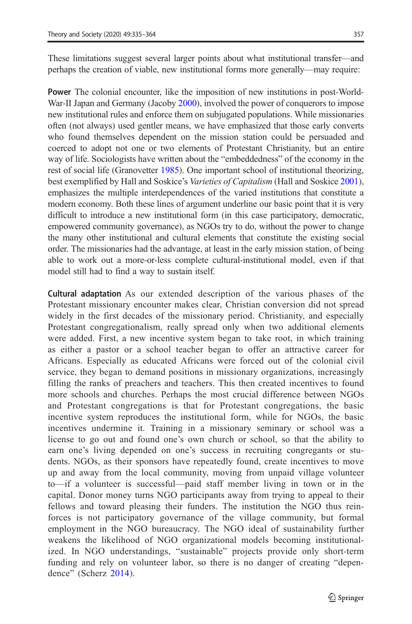These limitations suggest several larger points about what institutional transfer—and perhaps the creation of viable, new institutional forms more generally—may require:

Power The colonial encounter, like the imposition of new institutions in post-World-War-II Japan and Germany (Jacoby [2000\)](#page-27-0), involved the power of conquerors to impose new institutional rules and enforce them on subjugated populations. While missionaries often (not always) used gentler means, we have emphasized that those early converts who found themselves dependent on the mission station could be persuaded and coerced to adopt not one or two elements of Protestant Christianity, but an entire way of life. Sociologists have written about the "embeddedness" of the economy in the rest of social life (Granovetter [1985](#page-27-0)). One important school of institutional theorizing, best exemplified by Hall and Soskice's Varieties of Capitalism (Hall and Soskice [2001\)](#page-27-0), emphasizes the multiple interdependences of the varied institutions that constitute a modern economy. Both these lines of argument underline our basic point that it is very difficult to introduce a new institutional form (in this case participatory, democratic, empowered community governance), as NGOs try to do, without the power to change the many other institutional and cultural elements that constitute the existing social order. The missionaries had the advantage, at least in the early mission station, of being able to work out a more-or-less complete cultural-institutional model, even if that model still had to find a way to sustain itself.

Cultural adaptation As our extended description of the various phases of the Protestant missionary encounter makes clear, Christian conversion did not spread widely in the first decades of the missionary period. Christianity, and especially Protestant congregationalism, really spread only when two additional elements were added. First, a new incentive system began to take root, in which training as either a pastor or a school teacher began to offer an attractive career for Africans. Especially as educated Africans were forced out of the colonial civil service, they began to demand positions in missionary organizations, increasingly filling the ranks of preachers and teachers. This then created incentives to found more schools and churches. Perhaps the most crucial difference between NGOs and Protestant congregations is that for Protestant congregations, the basic incentive system reproduces the institutional form, while for NGOs, the basic incentives undermine it. Training in a missionary seminary or school was a license to go out and found one's own church or school, so that the ability to earn one's living depended on one's success in recruiting congregants or students. NGOs, as their sponsors have repeatedly found, create incentives to move up and away from the local community, moving from unpaid village volunteer to—if a volunteer is successful—paid staff member living in town or in the capital. Donor money turns NGO participants away from trying to appeal to their fellows and toward pleasing their funders. The institution the NGO thus reinforces is not participatory governance of the village community, but formal employment in the NGO bureaucracy. The NGO ideal of sustainability further weakens the likelihood of NGO organizational models becoming institutionalized. In NGO understandings, "sustainable" projects provide only short-term funding and rely on volunteer labor, so there is no danger of creating "depen-dence" (Scherz [2014](#page-28-0)).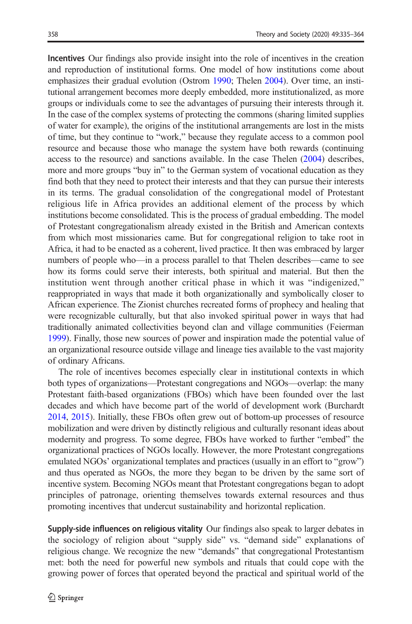Incentives Our findings also provide insight into the role of incentives in the creation and reproduction of institutional forms. One model of how institutions come about emphasizes their gradual evolution (Ostrom [1990;](#page-28-0) Thelen [2004](#page-29-0)). Over time, an institutional arrangement becomes more deeply embedded, more institutionalized, as more groups or individuals come to see the advantages of pursuing their interests through it. In the case of the complex systems of protecting the commons (sharing limited supplies of water for example), the origins of the institutional arrangements are lost in the mists of time, but they continue to "work," because they regulate access to a common pool resource and because those who manage the system have both rewards (continuing access to the resource) and sanctions available. In the case Thelen ([2004](#page-29-0)) describes, more and more groups "buy in" to the German system of vocational education as they find both that they need to protect their interests and that they can pursue their interests in its terms. The gradual consolidation of the congregational model of Protestant religious life in Africa provides an additional element of the process by which institutions become consolidated. This is the process of gradual embedding. The model of Protestant congregationalism already existed in the British and American contexts from which most missionaries came. But for congregational religion to take root in Africa, it had to be enacted as a coherent, lived practice. It then was embraced by larger numbers of people who—in a process parallel to that Thelen describes—came to see how its forms could serve their interests, both spiritual and material. But then the institution went through another critical phase in which it was "indigenized," reappropriated in ways that made it both organizationally and symbolically closer to African experience. The Zionist churches recreated forms of prophecy and healing that were recognizable culturally, but that also invoked spiritual power in ways that had traditionally animated collectivities beyond clan and village communities (Feierman [1999\)](#page-26-0). Finally, those new sources of power and inspiration made the potential value of an organizational resource outside village and lineage ties available to the vast majority of ordinary Africans.

The role of incentives becomes especially clear in institutional contexts in which both types of organizations—Protestant congregations and NGOs—overlap: the many Protestant faith-based organizations (FBOs) which have been founded over the last decades and which have become part of the world of development work (Burchardt [2014,](#page-25-0) [2015\)](#page-25-0). Initially, these FBOs often grew out of bottom-up processes of resource mobilization and were driven by distinctly religious and culturally resonant ideas about modernity and progress. To some degree, FBOs have worked to further "embed" the organizational practices of NGOs locally. However, the more Protestant congregations emulated NGOs' organizational templates and practices (usually in an effort to "grow") and thus operated as NGOs, the more they began to be driven by the same sort of incentive system. Becoming NGOs meant that Protestant congregations began to adopt principles of patronage, orienting themselves towards external resources and thus promoting incentives that undercut sustainability and horizontal replication.

Supply-side influences on religious vitality Our findings also speak to larger debates in the sociology of religion about "supply side" vs. "demand side" explanations of religious change. We recognize the new "demands" that congregational Protestantism met: both the need for powerful new symbols and rituals that could cope with the growing power of forces that operated beyond the practical and spiritual world of the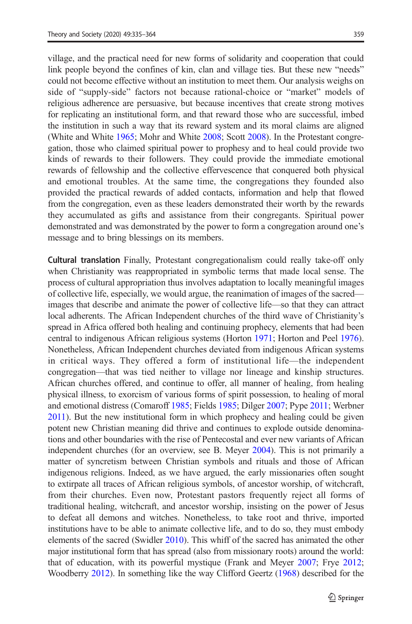village, and the practical need for new forms of solidarity and cooperation that could link people beyond the confines of kin, clan and village ties. But these new "needs" could not become effective without an institution to meet them. Our analysis weighs on side of "supply-side" factors not because rational-choice or "market" models of religious adherence are persuasive, but because incentives that create strong motives for replicating an institutional form, and that reward those who are successful, imbed the institution in such a way that its reward system and its moral claims are aligned (White and White [1965](#page-29-0); Mohr and White [2008](#page-28-0); Scott [2008\)](#page-28-0). In the Protestant congregation, those who claimed spiritual power to prophesy and to heal could provide two kinds of rewards to their followers. They could provide the immediate emotional rewards of fellowship and the collective effervescence that conquered both physical and emotional troubles. At the same time, the congregations they founded also provided the practical rewards of added contacts, information and help that flowed from the congregation, even as these leaders demonstrated their worth by the rewards they accumulated as gifts and assistance from their congregants. Spiritual power demonstrated and was demonstrated by the power to form a congregation around one's message and to bring blessings on its members.

Cultural translation Finally, Protestant congregationalism could really take-off only when Christianity was reappropriated in symbolic terms that made local sense. The process of cultural appropriation thus involves adaptation to locally meaningful images of collective life, especially, we would argue, the reanimation of images of the sacred images that describe and animate the power of collective life—so that they can attract local adherents. The African Independent churches of the third wave of Christianity's spread in Africa offered both healing and continuing prophecy, elements that had been central to indigenous African religious systems (Horton [1971](#page-27-0); Horton and Peel [1976\)](#page-27-0). Nonetheless, African Independent churches deviated from indigenous African systems in critical ways. They offered a form of institutional life—the independent congregation—that was tied neither to village nor lineage and kinship structures. African churches offered, and continue to offer, all manner of healing, from healing physical illness, to exorcism of various forms of spirit possession, to healing of moral and emotional distress (Comaroff [1985](#page-26-0); Fields [1985;](#page-26-0) Dilger [2007](#page-26-0); Pype [2011](#page-28-0); Werbner [2011](#page-29-0)). But the new institutional form in which prophecy and healing could be given potent new Christian meaning did thrive and continues to explode outside denominations and other boundaries with the rise of Pentecostal and ever new variants of African independent churches (for an overview, see B. Meyer [2004\)](#page-28-0). This is not primarily a matter of syncretism between Christian symbols and rituals and those of African indigenous religions. Indeed, as we have argued, the early missionaries often sought to extirpate all traces of African religious symbols, of ancestor worship, of witchcraft, from their churches. Even now, Protestant pastors frequently reject all forms of traditional healing, witchcraft, and ancestor worship, insisting on the power of Jesus to defeat all demons and witches. Nonetheless, to take root and thrive, imported institutions have to be able to animate collective life, and to do so, they must embody elements of the sacred (Swidler [2010\)](#page-28-0). This whiff of the sacred has animated the other major institutional form that has spread (also from missionary roots) around the world: that of education, with its powerful mystique (Frank and Meyer [2007](#page-26-0); Frye [2012;](#page-26-0) Woodberry [2012](#page-29-0)). In something like the way Clifford Geertz ([1968](#page-26-0)) described for the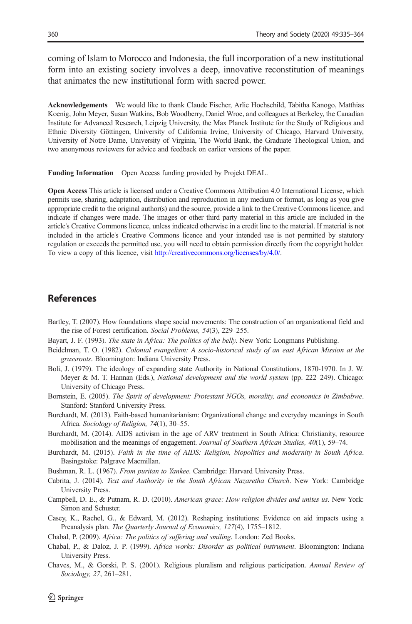<span id="page-25-0"></span>coming of Islam to Morocco and Indonesia, the full incorporation of a new institutional form into an existing society involves a deep, innovative reconstitution of meanings that animates the new institutional form with sacred power.

Acknowledgements We would like to thank Claude Fischer, Arlie Hochschild, Tabitha Kanogo, Matthias Koenig, John Meyer, Susan Watkins, Bob Woodberry, Daniel Wroe, and colleagues at Berkeley, the Canadian Institute for Advanced Research, Leipzig University, the Max Planck Institute for the Study of Religious and Ethnic Diversity Göttingen, University of California Irvine, University of Chicago, Harvard University, University of Notre Dame, University of Virginia, The World Bank, the Graduate Theological Union, and two anonymous reviewers for advice and feedback on earlier versions of the paper.

Funding Information Open Access funding provided by Projekt DEAL.

Open Access This article is licensed under a Creative Commons Attribution 4.0 International License, which permits use, sharing, adaptation, distribution and reproduction in any medium or format, as long as you give appropriate credit to the original author(s) and the source, provide a link to the Creative Commons licence, and indicate if changes were made. The images or other third party material in this article are included in the article's Creative Commons licence, unless indicated otherwise in a credit line to the material. If material is not included in the article's Creative Commons licence and your intended use is not permitted by statutory regulation or exceeds the permitted use, you will need to obtain permission directly from the copyright holder. To view a copy of this licence, visit [http://creativecommons.org/licenses/by/4.0/.](http://creativecommons.org/licenses/by/4.0/)

## References

- Bartley, T. (2007). How foundations shape social movements: The construction of an organizational field and the rise of Forest certification. Social Problems, 54(3), 229–255.
- Bayart, J. F. (1993). The state in Africa: The politics of the belly. New York: Longmans Publishing.
- Beidelman, T. O. (1982). Colonial evangelism: A socio-historical study of an east African Mission at the grassroots. Bloomington: Indiana University Press.
- Boli, J. (1979). The ideology of expanding state Authority in National Constitutions, 1870-1970. In J. W. Meyer & M. T. Hannan (Eds.), National development and the world system (pp. 222–249). Chicago: University of Chicago Press.
- Bornstein, E. (2005). The Spirit of development: Protestant NGOs, morality, and economics in Zimbabwe. Stanford: Stanford University Press.
- Burchardt, M. (2013). Faith-based humanitarianism: Organizational change and everyday meanings in South Africa. Sociology of Religion, 74(1), 30–55.
- Burchardt, M. (2014). AIDS activism in the age of ARV treatment in South Africa: Christianity, resource mobilisation and the meanings of engagement. Journal of Southern African Studies, 40(1), 59–74.
- Burchardt, M. (2015). Faith in the time of AIDS: Religion, biopolitics and modernity in South Africa. Basingstoke: Palgrave Macmillan.
- Bushman, R. L. (1967). From puritan to Yankee. Cambridge: Harvard University Press.
- Cabrita, J. (2014). Text and Authority in the South African Nazaretha Church. New York: Cambridge University Press.
- Campbell, D. E., & Putnam, R. D. (2010). American grace: How religion divides and unites us. New York: Simon and Schuster.
- Casey, K., Rachel, G., & Edward, M. (2012). Reshaping institutions: Evidence on aid impacts using a Preanalysis plan. The Quarterly Journal of Economics, 127(4), 1755-1812.

Chabal, P. (2009). Africa: The politics of suffering and smiling. London: Zed Books.

- Chabal, P., & Daloz, J. P. (1999). Africa works: Disorder as political instrument. Bloomington: Indiana University Press.
- Chaves, M., & Gorski, P. S. (2001). Religious pluralism and religious participation. Annual Review of Sociology, 27, 261–281.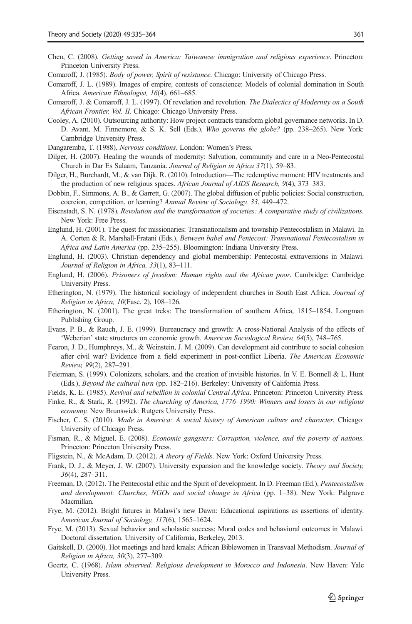- <span id="page-26-0"></span>Chen, C. (2008). Getting saved in America: Taiwanese immigration and religious experience. Princeton: Princeton University Press.
- Comaroff, J. (1985). Body of power, Spirit of resistance. Chicago: University of Chicago Press.
- Comaroff, J. L. (1989). Images of empire, contests of conscience: Models of colonial domination in South Africa. American Ethnologist, 16(4), 661–685.
- Comaroff, J. & Comaroff, J. L. (1997). Of revelation and revolution. The Dialectics of Modernity on a South African Frontier. Vol. II. Chicago: Chicago University Press.
- Cooley, A. (2010). Outsourcing authority: How project contracts transform global governance networks. In D. D. Avant, M. Finnemore, & S. K. Sell (Eds.), Who governs the globe? (pp. 238–265). New York: Cambridge University Press.
- Dangaremba, T. (1988). Nervous conditions. London: Women's Press.
- Dilger, H. (2007). Healing the wounds of modernity: Salvation, community and care in a Neo-Pentecostal Church in Dar Es Salaam, Tanzania. Journal of Religion in Africa 37(1), 59–83.
- Dilger, H., Burchardt, M., & van Dijk, R. (2010). Introduction—The redemptive moment: HIV treatments and the production of new religious spaces. African Journal of AIDS Research, 9(4), 373–383.
- Dobbin, F., Simmons, A. B., & Garrett, G. (2007). The global diffusion of public policies: Social construction, coercion, competition, or learning? Annual Review of Sociology, 33, 449–472.
- Eisenstadt, S. N. (1978). Revolution and the transformation of societies: A comparative study of civilizations. New York: Free Press.
- Englund, H. (2001). The quest for missionaries: Transnationalism and township Pentecostalism in Malawi. In A. Corten & R. Marshall-Fratani (Eds.), Between babel and Pentecost: Transnational Pentecostalism in Africa and Latin America (pp. 235–255). Bloomington: Indiana University Press.
- Englund, H. (2003). Christian dependency and global membership: Pentecostal extraversions in Malawi. Journal of Religion in Africa, 33(1), 83–111.
- Englund, H. (2006). Prisoners of freedom: Human rights and the African poor. Cambridge: Cambridge University Press.
- Etherington, N. (1979). The historical sociology of independent churches in South East Africa. Journal of Religion in Africa, 10(Fasc. 2), 108–126.
- Etherington, N. (2001). The great treks: The transformation of southern Africa, 1815–1854. Longman Publishing Group.
- Evans, P. B., & Rauch, J. E. (1999). Bureaucracy and growth: A cross-National Analysis of the effects of 'Weberian' state structures on economic growth. American Sociological Review, 64(5), 748–765.
- Fearon, J. D., Humphreys, M., & Weinstein, J. M. (2009). Can development aid contribute to social cohesion after civil war? Evidence from a field experiment in post-conflict Liberia. The American Economic Review, 99(2), 287–291.
- Feierman, S. (1999). Colonizers, scholars, and the creation of invisible histories. In V. E. Bonnell & L. Hunt (Eds.), Beyond the cultural turn (pp. 182–216). Berkeley: University of California Press.
- Fields, K. E. (1985). Revival and rebellion in colonial Central Africa. Princeton: Princeton University Press.
- Finke, R., & Stark, R. (1992). The churching of America, 1776–1990: Winners and losers in our religious economy. New Brunswick: Rutgers University Press.
- Fischer, C. S. (2010). Made in America: A social history of American culture and character. Chicago: University of Chicago Press.
- Fisman, R., & Miguel, E. (2008). Economic gangsters: Corruption, violence, and the poverty of nations. Princeton: Princeton University Press.
- Fligstein, N., & McAdam, D. (2012). A theory of Fields. New York: Oxford University Press.
- Frank, D. J., & Meyer, J. W. (2007). University expansion and the knowledge society. Theory and Society, 36(4), 287–311.
- Freeman, D. (2012). The Pentecostal ethic and the Spirit of development. In D. Freeman (Ed.), *Pentecostalism* and development: Churches, NGOs and social change in Africa (pp. 1–38). New York: Palgrave Macmillan.
- Frye, M. (2012). Bright futures in Malawi's new Dawn: Educational aspirations as assertions of identity. American Journal of Sociology, 117(6), 1565–1624.
- Frye, M. (2013). Sexual behavior and scholastic success: Moral codes and behavioral outcomes in Malawi. Doctoral dissertation. University of California, Berkeley, 2013.
- Gaitskell, D. (2000). Hot meetings and hard kraals: African Biblewomen in Transvaal Methodism. Journal of Religion in Africa, 30(3), 277–309.
- Geertz, C. (1968). Islam observed: Religious development in Morocco and Indonesia. New Haven: Yale University Press.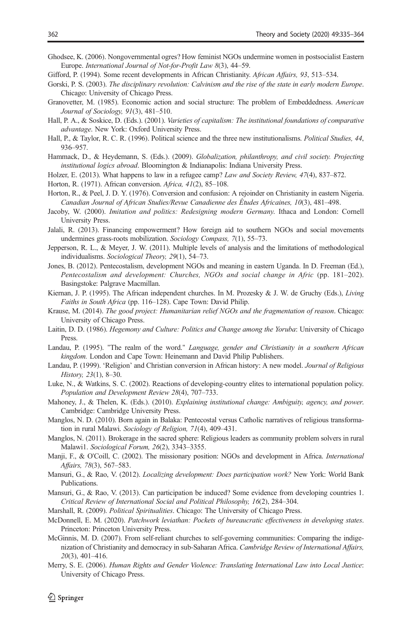<span id="page-27-0"></span>Ghodsee, K. (2006). Nongovernmental ogres? How feminist NGOs undermine women in postsocialist Eastern Europe. International Journal of Not-for-Profit Law 8(3), 44–59.

Gifford, P. (1994). Some recent developments in African Christianity. African Affairs, 93, 513–534.

- Gorski, P. S. (2003). The disciplinary revolution: Calvinism and the rise of the state in early modern Europe. Chicago: University of Chicago Press.
- Granovetter, M. (1985). Economic action and social structure: The problem of Embeddedness. American Journal of Sociology, 91(3), 481–510.
- Hall, P. A., & Soskice, D. (Eds.). (2001). Varieties of capitalism: The institutional foundations of comparative advantage. New York: Oxford University Press.
- Hall, P., & Taylor, R. C. R. (1996). Political science and the three new institutionalisms. Political Studies, 44, 936–957.
- Hammack, D., & Heydemann, S. (Eds.). (2009). Globalization, philanthropy, and civil society. Projecting institutional logics abroad. Bloomington & Indianapolis: Indiana University Press.
- Holzer, E. (2013). What happens to law in a refugee camp? Law and Society Review, 47(4), 837–872.
- Horton, R. (1971). African conversion. Africa, 41(2), 85–108.
- Horton, R., & Peel, J. D. Y. (1976). Conversion and confusion: A rejoinder on Christianity in eastern Nigeria. Canadian Journal of African Studies/Revue Canadienne des Études Africaines, 10(3), 481–498.
- Jacoby, W. (2000). Imitation and politics: Redesigning modern Germany. Ithaca and London: Cornell University Press.
- Jalali, R. (2013). Financing empowerment? How foreign aid to southern NGOs and social movements undermines grass-roots mobilization. Sociology Compass, 7(1), 55–73.
- Jepperson, R. L., & Meyer, J. W. (2011). Multiple levels of analysis and the limitations of methodological individualisms. Sociological Theory, 29(1), 54–73.
- Jones, B. (2012). Pentecostalism, development NGOs and meaning in eastern Uganda. In D. Freeman (Ed.), Pentecostalism and development: Churches, NGOs and social change in Afric (pp. 181–202). Basingstoke: Palgrave Macmillan.
- Kiernan, J. P. (1995). The African independent churches. In M. Prozesky & J. W. de Gruchy (Eds.), Living Faiths in South Africa (pp. 116–128). Cape Town: David Philip.
- Krause, M. (2014). The good project: Humanitarian relief NGOs and the fragmentation of reason. Chicago: University of Chicago Press.
- Laitin, D. D. (1986). Hegemony and Culture: Politics and Change among the Yoruba: University of Chicago Press.
- Landau, P. (1995). "The realm of the word." Language, gender and Christianity in a southern African kingdom. London and Cape Town: Heinemann and David Philip Publishers.
- Landau, P. (1999). 'Religion' and Christian conversion in African history: A new model. *Journal of Religious* History, 23(1), 8–30.
- Luke, N., & Watkins, S. C. (2002). Reactions of developing-country elites to international population policy. Population and Development Review 28(4), 707–733.
- Mahoney, J., & Thelen, K. (Eds.). (2010). Explaining institutional change: Ambiguity, agency, and power. Cambridge: Cambridge University Press.
- Manglos, N. D. (2010). Born again in Balaka: Pentecostal versus Catholic narratives of religious transformation in rural Malawi. Sociology of Religion, 71(4), 409–431.
- Manglos, N. (2011). Brokerage in the sacred sphere: Religious leaders as community problem solvers in rural Malawi1. Sociological Forum, 26(2), 3343–3355.
- Manji, F., & O'Coill, C. (2002). The missionary position: NGOs and development in Africa. International Affairs, 78(3), 567–583.
- Mansuri, G., & Rao, V. (2012). Localizing development: Does participation work? New York: World Bank **Publications**
- Mansuri, G., & Rao, V. (2013). Can participation be induced? Some evidence from developing countries 1. Critical Review of International Social and Political Philosophy, 16(2), 284–304.
- Marshall, R. (2009). Political Spiritualities. Chicago: The University of Chicago Press.
- McDonnell, E. M. (2020). Patchwork leviathan: Pockets of bureaucratic effectiveness in developing states. Princeton: Princeton University Press.
- McGinnis, M. D. (2007). From self-reliant churches to self-governing communities: Comparing the indigenization of Christianity and democracy in sub-Saharan Africa. Cambridge Review of International Affairs,  $20(3)$ , 401–416.
- Merry, S. E. (2006). Human Rights and Gender Violence: Translating International Law into Local Justice: University of Chicago Press.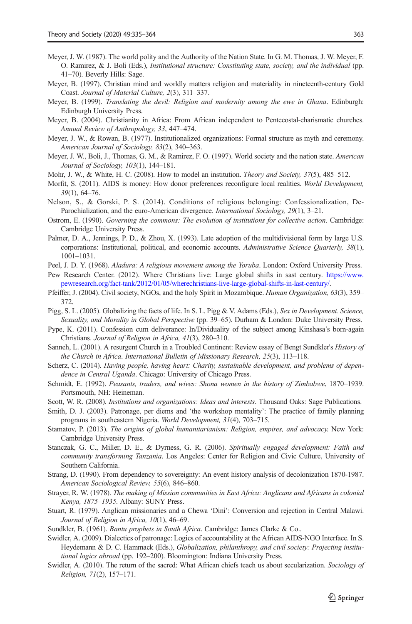- <span id="page-28-0"></span>Meyer, J. W. (1987). The world polity and the Authority of the Nation State. In G. M. Thomas, J. W. Meyer, F. O. Ramirez, & J. Boli (Eds.), Institutional structure: Constituting state, society, and the individual (pp. 41–70). Beverly Hills: Sage.
- Meyer, B. (1997). Christian mind and worldly matters religion and materiality in nineteenth-century Gold Coast. Journal of Material Culture, 2(3), 311–337.
- Meyer, B. (1999). Translating the devil: Religion and modernity among the ewe in Ghana. Edinburgh: Edinburgh University Press.
- Meyer, B. (2004). Christianity in Africa: From African independent to Pentecostal-charismatic churches. Annual Review of Anthropology, 33, 447–474.
- Meyer, J. W., & Rowan, B. (1977). Institutionalized organizations: Formal structure as myth and ceremony. American Journal of Sociology, 83(2), 340–363.
- Meyer, J. W., Boli, J., Thomas, G. M., & Ramirez, F. O. (1997). World society and the nation state. American Journal of Sociology, 103(1), 144–181.
- Mohr, J. W., & White, H. C. (2008). How to model an institution. *Theory and Society*, 37(5), 485–512.
- Morfit, S. (2011). AIDS is money: How donor preferences reconfigure local realities. World Development, 39(1), 64–76.
- Nelson, S., & Gorski, P. S. (2014). Conditions of religious belonging: Confessionalization, De-Parochialization, and the euro-American divergence. International Sociology, 29(1), 3–21.
- Ostrom, E. (1990). Governing the commons: The evolution of institutions for collective action. Cambridge: Cambridge University Press.
- Palmer, D. A., Jennings, P. D., & Zhou, X. (1993). Late adoption of the multidivisional form by large U.S. corporations: Institutional, political, and economic accounts. Administrative Science Quarterly, 38(1), 1001–1031.
- Peel, J. D. Y. (1968). Aladura: A religious movement among the Yoruba. London: Oxford University Press.
- Pew Research Center. (2012). Where Christians live: Large global shifts in sast century. [https://www.](https://www.pewresearch.org/fact-tank/2012/01/05/wherechristians-live-large-global-shifts-in-last-century/) [pewresearch.org/fact-tank/2012/01/05/wherechristians-live-large-global-shifts-in-last-century/.](https://www.pewresearch.org/fact-tank/2012/01/05/wherechristians-live-large-global-shifts-in-last-century/)
- Pfeiffer, J. (2004). Civil society, NGOs, and the holy Spirit in Mozambique. Human Organization, 63(3), 359– 372.
- Pigg, S. L. (2005). Globalizing the facts of life. In S. L. Pigg & V. Adams (Eds.), Sex in Development. Science, Sexuality, and Morality in Global Perspective (pp. 39–65). Durham & London: Duke University Press.
- Pype, K. (2011). Confession cum deliverance: In/Dividuality of the subject among Kinshasa's born-again Christians. Journal of Religion in Africa, 41(3), 280–310.
- Sanneh, L. (2001). A resurgent Church in a Troubled Continent: Review essay of Bengt Sundkler's *History of* the Church in Africa. International Bulletin of Missionary Research, 25(3), 113–118.
- Scherz, C. (2014). Having people, having heart: Charity, sustainable development, and problems of dependence in Central Uganda. Chicago: University of Chicago Press.
- Schmidt, E. (1992). Peasants, traders, and wives: Shona women in the history of Zimbabwe, 1870–1939. Portsmouth, NH: Heineman.
- Scott, W. R. (2008). Institutions and organizations: Ideas and interests. Thousand Oaks: Sage Publications.
- Smith, D. J. (2003). Patronage, per diems and 'the workshop mentality': The practice of family planning programs in southeastern Nigeria. World Development, 31(4), 703–715.
- Stamatov, P. (2013). The origins of global humanitarianism: Religion, empires, and advocacy. New York: Cambridge University Press.
- Stanczak, G. C., Miller, D. E., & Dyrness, G. R. (2006). Spiritually engaged development: Faith and community transforming Tanzania. Los Angeles: Center for Religion and Civic Culture, University of Southern California.
- Strang, D. (1990). From dependency to sovereignty: An event history analysis of decolonization 1870-1987. American Sociological Review, 55(6), 846–860.
- Strayer, R. W. (1978). The making of Mission communities in East Africa: Anglicans and Africans in colonial Kenya, 1875–1935. Albany: SUNY Press.
- Stuart, R. (1979). Anglican missionaries and a Chewa 'Dini': Conversion and rejection in Central Malawi. Journal of Religion in Africa, 10(1), 46–69.

Sundkler, B. (1961). Bantu prophets in South Africa. Cambridge: James Clarke & Co..

- Swidler, A. (2009). Dialectics of patronage: Logics of accountability at the African AIDS-NGO Interface. In S. Heydemann & D. C. Hammack (Eds.), Globalization, philanthropy, and civil society: Projecting institutional logics abroad (pp. 192–200). Bloomington: Indiana University Press.
- Swidler, A. (2010). The return of the sacred: What African chiefs teach us about secularization. Sociology of Religion, 71(2), 157–171.